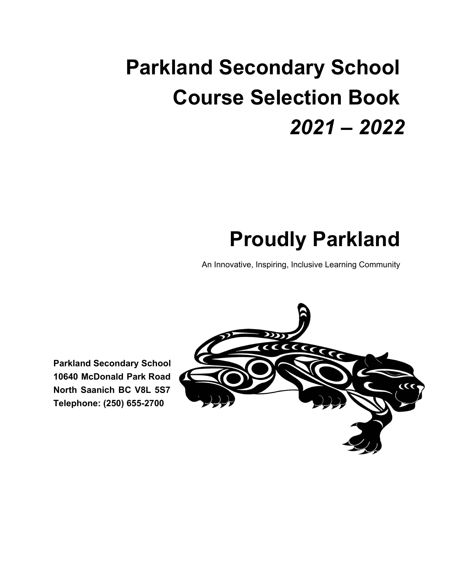# **Parkland Secondary School Course Selection Book** *2021 – 2022*

# **Proudly Parkland**

An Innovative, Inspiring, Inclusive Learning Community

**Parkland Secondary School 10640 McDonald Park Road North Saanich BC V8L 5S7 Telephone: (250) 655-2700**

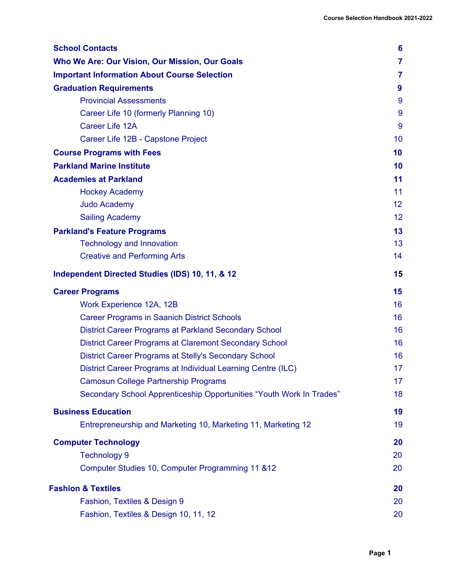| <b>School Contacts</b>                                               | 6              |
|----------------------------------------------------------------------|----------------|
| Who We Are: Our Vision, Our Mission, Our Goals                       | $\overline{7}$ |
| <b>Important Information About Course Selection</b>                  | 7              |
| <b>Graduation Requirements</b>                                       | 9              |
| <b>Provincial Assessments</b>                                        | 9              |
| Career Life 10 (formerly Planning 10)                                | 9              |
| Career Life 12A                                                      | 9              |
| Career Life 12B - Capstone Project                                   | 10             |
| <b>Course Programs with Fees</b>                                     | 10             |
| <b>Parkland Marine Institute</b>                                     | 10             |
| <b>Academies at Parkland</b>                                         | 11             |
| <b>Hockey Academy</b>                                                | 11             |
| <b>Judo Academy</b>                                                  | 12             |
| <b>Sailing Academy</b>                                               | 12             |
| <b>Parkland's Feature Programs</b>                                   | 13             |
| <b>Technology and Innovation</b>                                     | 13             |
| <b>Creative and Performing Arts</b>                                  | 14             |
| Independent Directed Studies (IDS) 10, 11, & 12                      | 15             |
| <b>Career Programs</b>                                               | 15             |
| Work Experience 12A, 12B                                             | 16             |
| <b>Career Programs in Saanich District Schools</b>                   | 16             |
| <b>District Career Programs at Parkland Secondary School</b>         | 16             |
| District Career Programs at Claremont Secondary School               | 16             |
| District Career Programs at Stelly's Secondary School                | 16             |
| District Career Programs at Individual Learning Centre (ILC)         | 17             |
| <b>Camosun College Partnership Programs</b>                          | 17             |
| Secondary School Apprenticeship Opportunities "Youth Work In Trades" | 18             |
| <b>Business Education</b>                                            | 19             |
| Entrepreneurship and Marketing 10, Marketing 11, Marketing 12        | 19             |
| <b>Computer Technology</b>                                           | 20             |
| <b>Technology 9</b>                                                  | 20             |
| Computer Studies 10, Computer Programming 11 & 12                    | 20             |
| <b>Fashion &amp; Textiles</b>                                        | 20             |
| Fashion, Textiles & Design 9                                         | 20             |
| Fashion, Textiles & Design 10, 11, 12                                | 20             |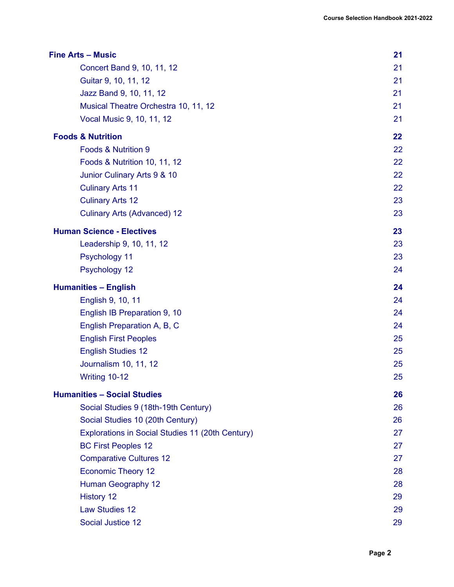|                                                  | 21 |
|--------------------------------------------------|----|
| Concert Band 9, 10, 11, 12                       | 21 |
| Guitar 9, 10, 11, 12                             | 21 |
| Jazz Band 9, 10, 11, 12                          | 21 |
| Musical Theatre Orchestra 10, 11, 12             | 21 |
| Vocal Music 9, 10, 11, 12                        | 21 |
| <b>Foods &amp; Nutrition</b>                     | 22 |
| <b>Foods &amp; Nutrition 9</b>                   | 22 |
| Foods & Nutrition 10, 11, 12                     | 22 |
| Junior Culinary Arts 9 & 10                      | 22 |
| <b>Culinary Arts 11</b>                          | 22 |
| <b>Culinary Arts 12</b>                          | 23 |
| <b>Culinary Arts (Advanced) 12</b>               | 23 |
| <b>Human Science - Electives</b>                 | 23 |
| Leadership 9, 10, 11, 12                         | 23 |
| Psychology 11                                    | 23 |
| Psychology 12                                    | 24 |
| <b>Humanities - English</b>                      | 24 |
| English 9, 10, 11                                | 24 |
| English IB Preparation 9, 10                     | 24 |
| English Preparation A, B, C                      | 24 |
| <b>English First Peoples</b>                     | 25 |
| <b>English Studies 12</b>                        | 25 |
| Journalism 10, 11, 12                            | 25 |
| Writing 10-12                                    | 25 |
| <b>Humanities - Social Studies</b>               | 26 |
| Social Studies 9 (18th-19th Century)             | 26 |
| Social Studies 10 (20th Century)                 | 26 |
| Explorations in Social Studies 11 (20th Century) | 27 |
| <b>BC First Peoples 12</b>                       | 27 |
| <b>Comparative Cultures 12</b>                   | 27 |
| <b>Economic Theory 12</b>                        | 28 |
| Human Geography 12                               | 28 |
| <b>History 12</b>                                | 29 |
| <b>Law Studies 12</b>                            | 29 |
| Social Justice 12                                | 29 |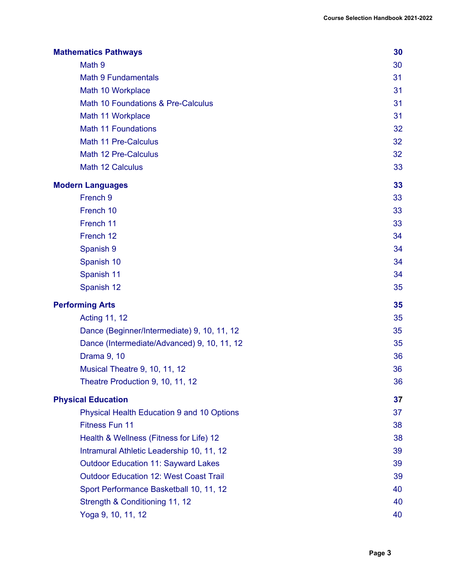| <b>Mathematics Pathways</b>                   | 30 |
|-----------------------------------------------|----|
| Math 9                                        | 30 |
| <b>Math 9 Fundamentals</b>                    | 31 |
| Math 10 Workplace                             | 31 |
| Math 10 Foundations & Pre-Calculus            | 31 |
| Math 11 Workplace                             | 31 |
| <b>Math 11 Foundations</b>                    | 32 |
| Math 11 Pre-Calculus                          | 32 |
| Math 12 Pre-Calculus                          | 32 |
| Math 12 Calculus                              | 33 |
| <b>Modern Languages</b>                       | 33 |
| French 9                                      | 33 |
| French 10                                     | 33 |
| French 11                                     | 33 |
| French 12                                     | 34 |
| Spanish 9                                     | 34 |
| Spanish 10                                    | 34 |
| Spanish 11                                    | 34 |
| Spanish 12                                    | 35 |
| <b>Performing Arts</b>                        | 35 |
| <b>Acting 11, 12</b>                          | 35 |
| Dance (Beginner/Intermediate) 9, 10, 11, 12   | 35 |
| Dance (Intermediate/Advanced) 9, 10, 11, 12   | 35 |
| Drama 9, 10                                   | 36 |
| Musical Theatre 9, 10, 11, 12                 | 36 |
| Theatre Production 9, 10, 11, 12              | 36 |
| <b>Physical Education</b>                     | 37 |
| Physical Health Education 9 and 10 Options    | 37 |
| Fitness Fun 11                                | 38 |
| Health & Wellness (Fitness for Life) 12       | 38 |
| Intramural Athletic Leadership 10, 11, 12     | 39 |
| <b>Outdoor Education 11: Sayward Lakes</b>    | 39 |
| <b>Outdoor Education 12: West Coast Trail</b> | 39 |
| Sport Performance Basketball 10, 11, 12       | 40 |
| Strength & Conditioning 11, 12                | 40 |
| Yoga 9, 10, 11, 12                            | 40 |
|                                               |    |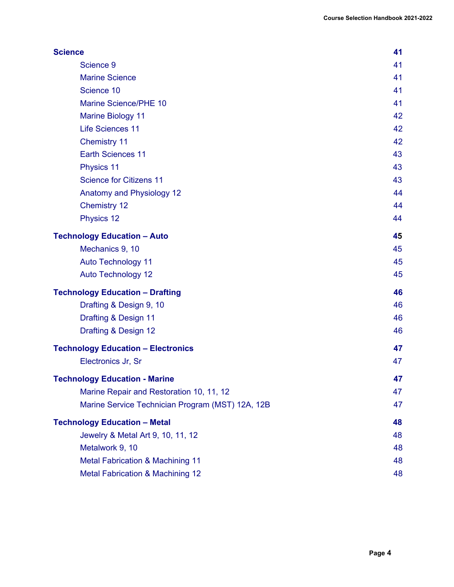| <b>Science</b>                                   | 41 |
|--------------------------------------------------|----|
| Science 9                                        | 41 |
| <b>Marine Science</b>                            | 41 |
| Science 10                                       | 41 |
| Marine Science/PHE 10                            | 41 |
| <b>Marine Biology 11</b>                         | 42 |
| <b>Life Sciences 11</b>                          | 42 |
| <b>Chemistry 11</b>                              | 42 |
| <b>Earth Sciences 11</b>                         | 43 |
| <b>Physics 11</b>                                | 43 |
| <b>Science for Citizens 11</b>                   | 43 |
| Anatomy and Physiology 12                        | 44 |
| <b>Chemistry 12</b>                              | 44 |
| Physics 12                                       | 44 |
| <b>Technology Education - Auto</b>               | 45 |
| Mechanics 9, 10                                  | 45 |
| <b>Auto Technology 11</b>                        | 45 |
| <b>Auto Technology 12</b>                        | 45 |
| <b>Technology Education - Drafting</b>           | 46 |
| Drafting & Design 9, 10                          | 46 |
| Drafting & Design 11                             | 46 |
| Drafting & Design 12                             | 46 |
| <b>Technology Education - Electronics</b>        | 47 |
| Electronics Jr, Sr                               | 47 |
| <b>Technology Education - Marine</b>             | 47 |
| Marine Repair and Restoration 10, 11, 12         | 47 |
| Marine Service Technician Program (MST) 12A, 12B | 47 |
| <b>Technology Education - Metal</b>              | 48 |
| Jewelry & Metal Art 9, 10, 11, 12                | 48 |
| Metalwork 9, 10                                  | 48 |
| <b>Metal Fabrication &amp; Machining 11</b>      | 48 |
| <b>Metal Fabrication &amp; Machining 12</b>      | 48 |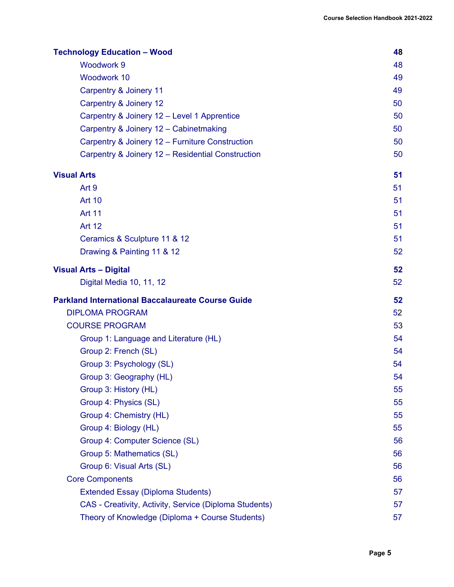| <b>Technology Education - Wood</b>                       | 48 |
|----------------------------------------------------------|----|
| <b>Woodwork 9</b>                                        | 48 |
| <b>Woodwork 10</b>                                       | 49 |
| Carpentry & Joinery 11                                   | 49 |
| Carpentry & Joinery 12                                   | 50 |
| Carpentry & Joinery 12 - Level 1 Apprentice              | 50 |
| Carpentry & Joinery 12 - Cabinetmaking                   | 50 |
| Carpentry & Joinery 12 - Furniture Construction          | 50 |
| Carpentry & Joinery 12 - Residential Construction        | 50 |
| <b>Visual Arts</b>                                       | 51 |
| Art 9                                                    | 51 |
| <b>Art 10</b>                                            | 51 |
| <b>Art 11</b>                                            | 51 |
| <b>Art 12</b>                                            | 51 |
| Ceramics & Sculpture 11 & 12                             | 51 |
| Drawing & Painting 11 & 12                               | 52 |
| <b>Visual Arts - Digital</b>                             | 52 |
| Digital Media 10, 11, 12                                 | 52 |
|                                                          |    |
| <b>Parkland International Baccalaureate Course Guide</b> | 52 |
| <b>DIPLOMA PROGRAM</b>                                   | 52 |
| <b>COURSE PROGRAM</b>                                    | 53 |
| Group 1: Language and Literature (HL)                    | 54 |
| Group 2: French (SL)                                     | 54 |
| Group 3: Psychology (SL)                                 | 54 |
| Group 3: Geography (HL)                                  | 54 |
| Group 3: History (HL)                                    | 55 |
| Group 4: Physics (SL)                                    | 55 |
| Group 4: Chemistry (HL)                                  | 55 |
| Group 4: Biology (HL)                                    | 55 |
| Group 4: Computer Science (SL)                           | 56 |
| Group 5: Mathematics (SL)                                | 56 |
| Group 6: Visual Arts (SL)                                | 56 |
| <b>Core Components</b>                                   | 56 |
| <b>Extended Essay (Diploma Students)</b>                 | 57 |
| CAS - Creativity, Activity, Service (Diploma Students)   | 57 |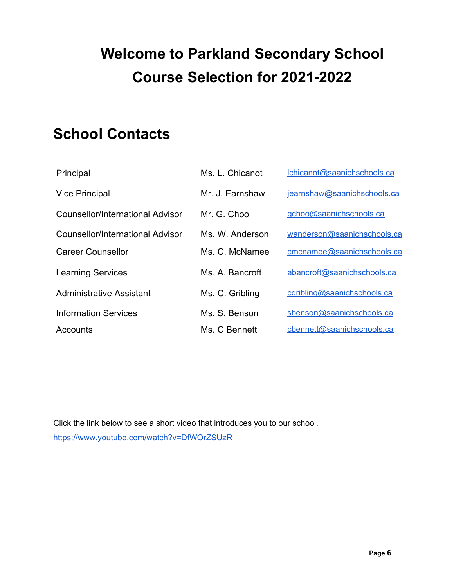## **Welcome to Parkland Secondary School Course Selection for 2021-2022**

## **School Contacts**

| Principal                        | Ms. L. Chicanot | Ichicanot@saanichschools.ca |
|----------------------------------|-----------------|-----------------------------|
| <b>Vice Principal</b>            | Mr. J. Earnshaw | jearnshaw@saanichschools.ca |
| Counsellor/International Advisor | Mr. G. Choo     | gchoo@saanichschools.ca     |
| Counsellor/International Advisor | Ms. W. Anderson | wanderson@saanichschools.ca |
| <b>Career Counsellor</b>         | Ms. C. McNamee  | cmcnamee@saanichschools.ca  |
| <b>Learning Services</b>         | Ms. A. Bancroft | abancroft@saanichschools.ca |
| <b>Administrative Assistant</b>  | Ms. C. Gribling | cgribling@saanichschools.ca |
| <b>Information Services</b>      | Ms. S. Benson   | sbenson@saanichschools.ca   |
| Accounts                         | Ms. C Bennett   | cbennett@saanichschools.ca  |

Click the link below to see a short video that introduces you to our school. https://www.youtube.com/watch?v=DfWOrZSUzR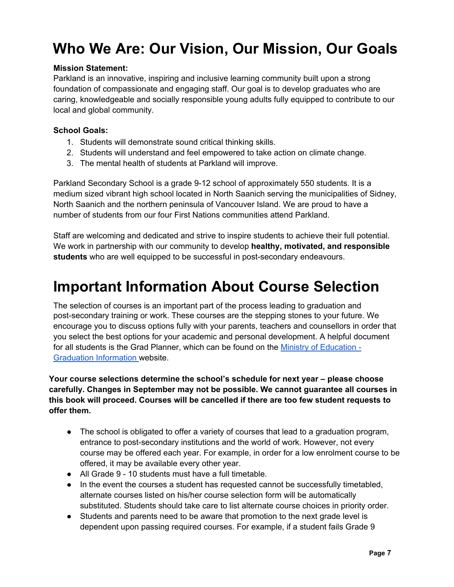## **Who We Are: Our Vision, Our Mission, Our Goals**

#### **Mission Statement:**

Parkland is an innovative, inspiring and inclusive learning community built upon a strong foundation of compassionate and engaging staff. Our goal is to develop graduates who are caring, knowledgeable and socially responsible young adults fully equipped to contribute to our local and global community.

#### **School Goals:**

- 1. Students will demonstrate sound critical thinking skills.
- 2. Students will understand and feel empowered to take action on climate change.
- 3. The mental health of students at Parkland will improve.

Parkland Secondary School is a grade 9-12 school of approximately 550 students. It is a medium sized vibrant high school located in North Saanich serving the municipalities of Sidney, North Saanich and the northern peninsula of Vancouver Island. We are proud to have a number of students from our four First Nations communities attend Parkland.

Staff are welcoming and dedicated and strive to inspire students to achieve their full potential. We work in partnership with our community to develop **healthy, motivated, and responsible students** who are well equipped to be successful in post-secondary endeavours.

## **Important Information About Course Selection**

The selection of courses is an important part of the process leading to graduation and post-secondary training or work. These courses are the stepping stones to your future. We encourage you to discuss options fully with your parents, teachers and counsellors in order that you select the best options for your academic and personal development. A helpful document for all students is the Grad Planner, which can be found on the Ministry of Education - Graduation Information website.

**Your course selections determine the school's schedule for next year – please choose carefully. Changes in September may not be possible. We cannot guarantee all courses in this book will proceed. Courses will be cancelled if there are too few student requests to offer them.**

- The school is obligated to offer a variety of courses that lead to a graduation program, entrance to post-secondary institutions and the world of work. However, not every course may be offered each year. For example, in order for a low enrolment course to be offered, it may be available every other year.
- All Grade 9 10 students must have a full timetable.
- In the event the courses a student has requested cannot be successfully timetabled, alternate courses listed on his/her course selection form will be automatically substituted. Students should take care to list alternate course choices in priority order.
- Students and parents need to be aware that promotion to the next grade level is dependent upon passing required courses. For example, if a student fails Grade 9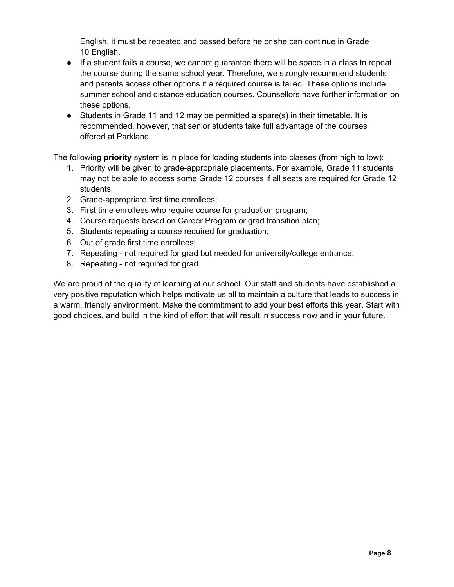English, it must be repeated and passed before he or she can continue in Grade 10 English.

- If a student fails a course, we cannot guarantee there will be space in a class to repeat the course during the same school year. Therefore, we strongly recommend students and parents access other options if a required course is failed. These options include summer school and distance education courses. Counsellors have further information on these options.
- Students in Grade 11 and 12 may be permitted a spare(s) in their timetable. It is recommended, however, that senior students take full advantage of the courses offered at Parkland.

The following **priority** system is in place for loading students into classes (from high to low):

- 1. Priority will be given to grade-appropriate placements. For example, Grade 11 students may not be able to access some Grade 12 courses if all seats are required for Grade 12 students.
- 2. Grade-appropriate first time enrollees;
- 3. First time enrollees who require course for graduation program;
- 4. Course requests based on Career Program or grad transition plan;
- 5. Students repeating a course required for graduation;
- 6. Out of grade first time enrollees;
- 7. Repeating not required for grad but needed for university/college entrance;
- 8. Repeating not required for grad.

We are proud of the quality of learning at our school. Our staff and students have established a very positive reputation which helps motivate us all to maintain a culture that leads to success in a warm, friendly environment. Make the commitment to add your best efforts this year. Start with good choices, and build in the kind of effort that will result in success now and in your future.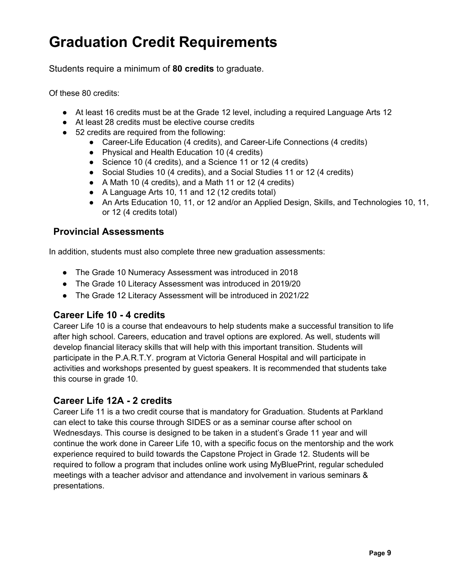## **Graduation Credit Requirements**

Students require a minimum of **80 credits** to graduate.

Of these 80 credits:

- At least 16 credits must be at the Grade 12 level, including a required Language Arts 12
- At least 28 credits must be elective course credits
- 52 credits are required from the following:
	- Career-Life Education (4 credits), and Career-Life Connections (4 credits)
	- Physical and Health Education 10 (4 credits)
	- Science 10 (4 credits), and a Science 11 or 12 (4 credits)
	- Social Studies 10 (4 credits), and a Social Studies 11 or 12 (4 credits)
	- A Math 10 (4 credits), and a Math 11 or 12 (4 credits)
	- A Language Arts 10, 11 and 12 (12 credits total)
	- An Arts Education 10, 11, or 12 and/or an Applied Design, Skills, and Technologies 10, 11, or 12 (4 credits total)

#### **Provincial Assessments**

In addition, students must also complete three new graduation assessments:

- The Grade 10 Numeracy Assessment was introduced in 2018
- The Grade 10 Literacy Assessment was introduced in 2019/20
- The Grade 12 Literacy Assessment will be introduced in 2021/22

#### **Career Life 10 - 4 credits**

Career Life 10 is a course that endeavours to help students make a successful transition to life after high school. Careers, education and travel options are explored. As well, students will develop financial literacy skills that will help with this important transition. Students will participate in the P.A.R.T.Y. program at Victoria General Hospital and will participate in activities and workshops presented by guest speakers. It is recommended that students take this course in grade 10.

#### **Career Life 12A - 2 credits**

Career Life 11 is a two credit course that is mandatory for Graduation. Students at Parkland can elect to take this course through SIDES or as a seminar course after school on Wednesdays. This course is designed to be taken in a student's Grade 11 year and will continue the work done in Career Life 10, with a specific focus on the mentorship and the work experience required to build towards the Capstone Project in Grade 12. Students will be required to follow a program that includes online work using MyBluePrint, regular scheduled meetings with a teacher advisor and attendance and involvement in various seminars & presentations.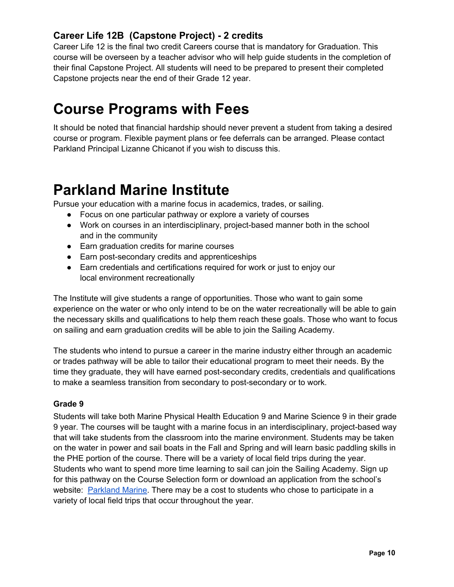## **Career Life 12B (Capstone Project) - 2 credits**

Career Life 12 is the final two credit Careers course that is mandatory for Graduation. This course will be overseen by a teacher advisor who will help guide students in the completion of their final Capstone Project. All students will need to be prepared to present their completed Capstone projects near the end of their Grade 12 year.

## **Course Programs with Fees**

It should be noted that financial hardship should never prevent a student from taking a desired course or program. Flexible payment plans or fee deferrals can be arranged. Please contact Parkland Principal Lizanne Chicanot if you wish to discuss this.

## **Parkland Marine Institute**

Pursue your education with a marine focus in academics, trades, or sailing.

- Focus on one particular pathway or explore a variety of courses
- Work on courses in an interdisciplinary, project-based manner both in the school and in the community
- Earn graduation credits for marine courses
- Earn post-secondary credits and apprenticeships
- Earn credentials and certifications required for work or just to enjoy our local environment recreationally

The Institute will give students a range of opportunities. Those who want to gain some experience on the water or who only intend to be on the water recreationally will be able to gain the necessary skills and qualifications to help them reach these goals. Those who want to focus on sailing and earn graduation credits will be able to join the Sailing Academy.

The students who intend to pursue a career in the marine industry either through an academic or trades pathway will be able to tailor their educational program to meet their needs. By the time they graduate, they will have earned post-secondary credits, credentials and qualifications to make a seamless transition from secondary to post-secondary or to work.

#### **Grade 9**

Students will take both Marine Physical Health Education 9 and Marine Science 9 in their grade 9 year. The courses will be taught with a marine focus in an interdisciplinary, project-based way that will take students from the classroom into the marine environment. Students may be taken on the water in power and sail boats in the Fall and Spring and will learn basic paddling skills in the PHE portion of the course. There will be a variety of local field trips during the year. Students who want to spend more time learning to sail can join the Sailing Academy. Sign up for this pathway on the Course Selection form or download an application from the school's website: Parkland Marine. There may be a cost to students who chose to participate in a variety of local field trips that occur throughout the year.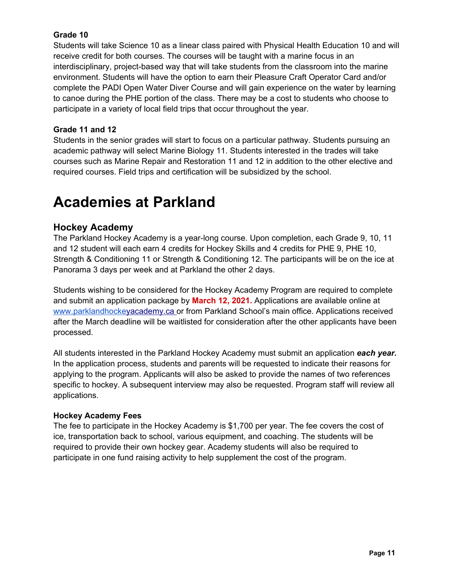#### **Grade 10**

Students will take Science 10 as a linear class paired with Physical Health Education 10 and will receive credit for both courses. The courses will be taught with a marine focus in an interdisciplinary, project-based way that will take students from the classroom into the marine environment. Students will have the option to earn their Pleasure Craft Operator Card and/or complete the PADI Open Water Diver Course and will gain experience on the water by learning to canoe during the PHE portion of the class. There may be a cost to students who choose to participate in a variety of local field trips that occur throughout the year.

#### **Grade 11 and 12**

Students in the senior grades will start to focus on a particular pathway. Students pursuing an academic pathway will select Marine Biology 11. Students interested in the trades will take courses such as Marine Repair and Restoration 11 and 12 in addition to the other elective and required courses. Field trips and certification will be subsidized by the school.

## **Academies at Parkland**

#### **Hockey Academy**

The Parkland Hockey Academy is a year-long course. Upon completion, each Grade 9, 10, 11 and 12 student will each earn 4 credits for Hockey Skills and 4 credits for PHE 9, PHE 10, Strength & Conditioning 11 or Strength & Conditioning 12. The participants will be on the ice at Panorama 3 days per week and at Parkland the other 2 days.

Students wishing to be considered for the Hockey Academy Program are required to complete and submit an application package by **March 12, 2021.** Applications are available online at www.parklandhockeyacademy.ca or from Parkland School's main office. Applications received after the March deadline will be waitlisted for consideration after the other applicants have been processed.

All students interested in the Parkland Hockey Academy must submit an application *each year.* In the application process, students and parents will be requested to indicate their reasons for applying to the program. Applicants will also be asked to provide the names of two references specific to hockey. A subsequent interview may also be requested. Program staff will review all applications.

#### **Hockey Academy Fees**

The fee to participate in the Hockey Academy is \$1,700 per year. The fee covers the cost of ice, transportation back to school, various equipment, and coaching. The students will be required to provide their own hockey gear. Academy students will also be required to participate in one fund raising activity to help supplement the cost of the program.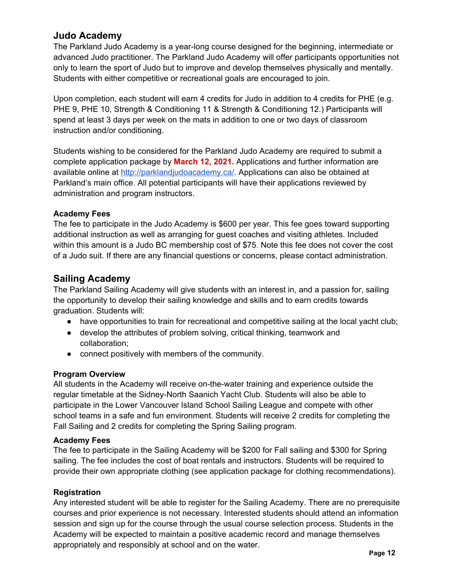#### **Judo Academy**

The Parkland Judo Academy is a year-long course designed for the beginning, intermediate or advanced Judo practitioner. The Parkland Judo Academy will offer participants opportunities not only to learn the sport of Judo but to improve and develop themselves physically and mentally. Students with either competitive or recreational goals are encouraged to join.

Upon completion, each student will earn 4 credits for Judo in addition to 4 credits for PHE (e.g. PHE 9, PHE 10, Strength & Conditioning 11 & Strength & Conditioning 12.) Participants will spend at least 3 days per week on the mats in addition to one or two days of classroom instruction and/or conditioning.

Students wishing to be considered for the Parkland Judo Academy are required to submit a complete application package by **March 12, 2021.** Applications and further information are available online at http://parklandjudoacademy.ca/. Applications can also be obtained at Parkland's main office. All potential participants will have their applications reviewed by administration and program instructors.

#### **Academy Fees**

The fee to participate in the Judo Academy is \$600 per year. This fee goes toward supporting additional instruction as well as arranging for guest coaches and visiting athletes. Included within this amount is a Judo BC membership cost of \$75. Note this fee does not cover the cost of a Judo suit. If there are any financial questions or concerns, please contact administration.

#### **Sailing Academy**

The Parkland Sailing Academy will give students with an interest in, and a passion for, sailing the opportunity to develop their sailing knowledge and skills and to earn credits towards graduation. Students will:

- have opportunities to train for recreational and competitive sailing at the local yacht club;
- develop the attributes of problem solving, critical thinking, teamwork and collaboration;
- connect positively with members of the community.

#### **Program Overview**

All students in the Academy will receive on-the-water training and experience outside the regular timetable at the Sidney-North Saanich Yacht Club. Students will also be able to participate in the Lower Vancouver Island School Sailing League and compete with other school teams in a safe and fun environment. Students will receive 2 credits for completing the Fall Sailing and 2 credits for completing the Spring Sailing program.

#### **Academy Fees**

The fee to participate in the Sailing Academy will be \$200 for Fall sailing and \$300 for Spring sailing. The fee includes the cost of boat rentals and instructors. Students will be required to provide their own appropriate clothing (see application package for clothing recommendations).

#### **Registration**

Any interested student will be able to register for the Sailing Academy. There are no prerequisite courses and prior experience is not necessary. Interested students should attend an information session and sign up for the course through the usual course selection process. Students in the Academy will be expected to maintain a positive academic record and manage themselves appropriately and responsibly at school and on the water.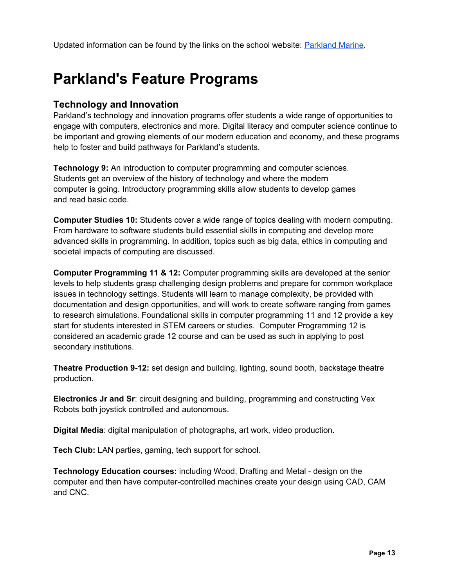Updated information can be found by the links on the school website: Parkland Marine.

## **Parkland's Feature Programs**

#### **Technology and Innovation**

Parkland's technology and innovation programs offer students a wide range of opportunities to engage with computers, electronics and more. Digital literacy and computer science continue to be important and growing elements of our modern education and economy, and these programs help to foster and build pathways for Parkland's students.

**Technology 9:** An introduction to computer programming and computer sciences. Students get an overview of the history of technology and where the modern computer is going. Introductory programming skills allow students to develop games and read basic code.

**Computer Studies 10:** Students cover a wide range of topics dealing with modern computing. From hardware to software students build essential skills in computing and develop more advanced skills in programming. In addition, topics such as big data, ethics in computing and societal impacts of computing are discussed.

**Computer Programming 11 & 12:** Computer programming skills are developed at the senior levels to help students grasp challenging design problems and prepare for common workplace issues in technology settings. Students will learn to manage complexity, be provided with documentation and design opportunities, and will work to create software ranging from games to research simulations. Foundational skills in computer programming 11 and 12 provide a key start for students interested in STEM careers or studies. Computer Programming 12 is considered an academic grade 12 course and can be used as such in applying to post secondary institutions.

**Theatre Production 9-12:** set design and building, lighting, sound booth, backstage theatre production.

**Electronics Jr and Sr**: circuit designing and building, programming and constructing Vex Robots both joystick controlled and autonomous.

**Digital Media**: digital manipulation of photographs, art work, video production.

**Tech Club:** LAN parties, gaming, tech support for school.

**Technology Education courses:** including Wood, Drafting and Metal - design on the computer and then have computer-controlled machines create your design using CAD, CAM and CNC.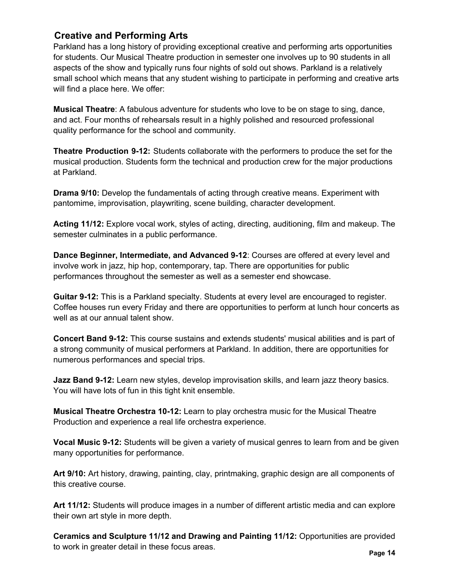### **Creative and Performing Arts**

Parkland has a long history of providing exceptional creative and performing arts opportunities for students. Our Musical Theatre production in semester one involves up to 90 students in all aspects of the show and typically runs four nights of sold out shows. Parkland is a relatively small school which means that any student wishing to participate in performing and creative arts will find a place here. We offer:

**Musical Theatre**: A fabulous adventure for students who love to be on stage to sing, dance, and act. Four months of rehearsals result in a highly polished and resourced professional quality performance for the school and community.

**Theatre Production 9-12:** Students collaborate with the performers to produce the set for the musical production. Students form the technical and production crew for the major productions at Parkland.

**Drama 9/10:** Develop the fundamentals of acting through creative means. Experiment with pantomime, improvisation, playwriting, scene building, character development.

**Acting 11/12:** Explore vocal work, styles of acting, directing, auditioning, film and makeup. The semester culminates in a public performance.

**Dance Beginner, Intermediate, and Advanced 9-12**: Courses are offered at every level and involve work in jazz, hip hop, contemporary, tap. There are opportunities for public performances throughout the semester as well as a semester end showcase.

**Guitar 9-12:** This is a Parkland specialty. Students at every level are encouraged to register. Coffee houses run every Friday and there are opportunities to perform at lunch hour concerts as well as at our annual talent show.

**Concert Band 9-12:** This course sustains and extends students' musical abilities and is part of a strong community of musical performers at Parkland. In addition, there are opportunities for numerous performances and special trips.

**Jazz Band 9-12:** Learn new styles, develop improvisation skills, and learn jazz theory basics. You will have lots of fun in this tight knit ensemble.

**Musical Theatre Orchestra 10-12:** Learn to play orchestra music for the Musical Theatre Production and experience a real life orchestra experience.

**Vocal Music 9-12:** Students will be given a variety of musical genres to learn from and be given many opportunities for performance.

**Art 9/10:** Art history, drawing, painting, clay, printmaking, graphic design are all components of this creative course.

**Art 11/12:** Students will produce images in a number of different artistic media and can explore their own art style in more depth.

**Ceramics and Sculpture 11/12 and Drawing and Painting 11/12:** Opportunities are provided to work in greater detail in these focus areas. **Page 14**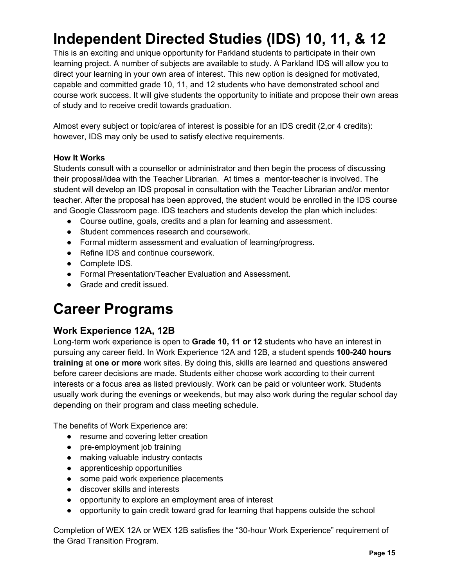## **Independent Directed Studies (IDS) 10, 11, & 12**

This is an exciting and unique opportunity for Parkland students to participate in their own learning project. A number of subjects are available to study. A Parkland IDS will allow you to direct your learning in your own area of interest. This new option is designed for motivated, capable and committed grade 10, 11, and 12 students who have demonstrated school and course work success. It will give students the opportunity to initiate and propose their own areas of study and to receive credit towards graduation.

Almost every subject or topic/area of interest is possible for an IDS credit (2,or 4 credits): however, IDS may only be used to satisfy elective requirements.

#### **How It Works**

Students consult with a counsellor or administrator and then begin the process of discussing their proposal/idea with the Teacher Librarian. At times a mentor-teacher is involved. The student will develop an IDS proposal in consultation with the Teacher Librarian and/or mentor teacher. After the proposal has been approved, the student would be enrolled in the IDS course and Google Classroom page. IDS teachers and students develop the plan which includes:

- Course outline, goals, credits and a plan for learning and assessment.
- Student commences research and coursework.
- Formal midterm assessment and evaluation of learning/progress.
- Refine IDS and continue coursework.
- Complete IDS.
- Formal Presentation/Teacher Evaluation and Assessment.
- Grade and credit issued.

## **Career Programs**

#### **Work Experience 12A, 12B**

Long-term work experience is open to **Grade 10, 11 or 12** students who have an interest in pursuing any career field. In Work Experience 12A and 12B, a student spends **100-240 hours training** at **one or more** work sites. By doing this, skills are learned and questions answered before career decisions are made. Students either choose work according to their current interests or a focus area as listed previously. Work can be paid or volunteer work. Students usually work during the evenings or weekends, but may also work during the regular school day depending on their program and class meeting schedule.

The benefits of Work Experience are:

- resume and covering letter creation
- pre-employment job training
- making valuable industry contacts
- apprenticeship opportunities
- some paid work experience placements
- discover skills and interests
- opportunity to explore an employment area of interest
- opportunity to gain credit toward grad for learning that happens outside the school

Completion of WEX 12A or WEX 12B satisfies the "30-hour Work Experience" requirement of the Grad Transition Program.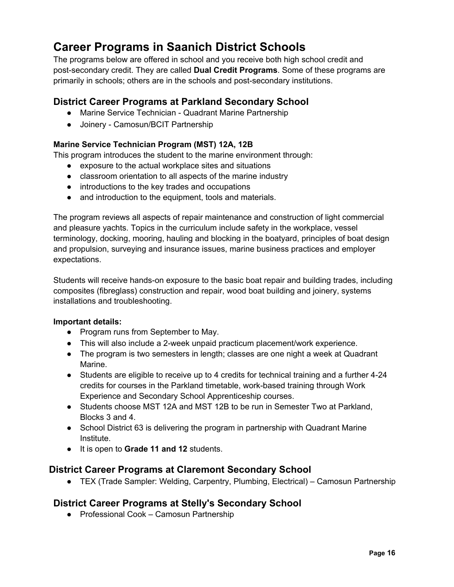## **Career Programs in Saanich District Schools**

The programs below are offered in school and you receive both high school credit and post-secondary credit. They are called **Dual Credit Programs**. Some of these programs are primarily in schools; others are in the schools and post-secondary institutions.

### **District Career Programs at Parkland Secondary School**

- Marine Service Technician Quadrant Marine Partnership
- Joinery Camosun/BCIT Partnership

#### **Marine Service Technician Program (MST) 12A, 12B**

This program introduces the student to the marine environment through:

- exposure to the actual workplace sites and situations
- classroom orientation to all aspects of the marine industry
- introductions to the key trades and occupations
- and introduction to the equipment, tools and materials.

The program reviews all aspects of repair maintenance and construction of light commercial and pleasure yachts. Topics in the curriculum include safety in the workplace, vessel terminology, docking, mooring, hauling and blocking in the boatyard, principles of boat design and propulsion, surveying and insurance issues, marine business practices and employer expectations.

Students will receive hands-on exposure to the basic boat repair and building trades, including composites (fibreglass) construction and repair, wood boat building and joinery, systems installations and troubleshooting.

#### **Important details:**

- Program runs from September to May.
- This will also include a 2-week unpaid practicum placement/work experience.
- The program is two semesters in length; classes are one night a week at Quadrant Marine.
- Students are eligible to receive up to 4 credits for technical training and a further 4-24 credits for courses in the Parkland timetable, work-based training through Work Experience and Secondary School Apprenticeship courses.
- Students choose MST 12A and MST 12B to be run in Semester Two at Parkland, Blocks 3 and 4.
- School District 63 is delivering the program in partnership with Quadrant Marine Institute.
- It is open to **Grade 11 and 12** students.

#### **District Career Programs at Claremont Secondary School**

● TEX (Trade Sampler: Welding, Carpentry, Plumbing, Electrical) – Camosun Partnership

#### **District Career Programs at Stelly's Secondary School**

● Professional Cook – Camosun Partnership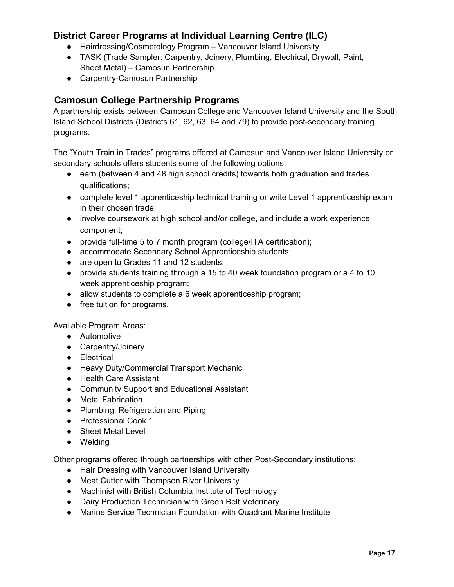### **District Career Programs at Individual Learning Centre (ILC)**

- Hairdressing/Cosmetology Program Vancouver Island University
- TASK (Trade Sampler: Carpentry, Joinery, Plumbing, Electrical, Drywall, Paint, Sheet Metal) – Camosun Partnership.
- Carpentry-Camosun Partnership

### **Camosun College Partnership Programs**

A partnership exists between Camosun College and Vancouver Island University and the South Island School Districts (Districts 61, 62, 63, 64 and 79) to provide post-secondary training programs.

The "Youth Train in Trades" programs offered at Camosun and Vancouver Island University or secondary schools offers students some of the following options:

- earn (between 4 and 48 high school credits) towards both graduation and trades qualifications;
- complete level 1 apprenticeship technical training or write Level 1 apprenticeship exam in their chosen trade;
- involve coursework at high school and/or college, and include a work experience component;
- provide full-time 5 to 7 month program (college/ITA certification);
- accommodate Secondary School Apprenticeship students;
- are open to Grades 11 and 12 students;
- provide students training through a 15 to 40 week foundation program or a 4 to 10 week apprenticeship program;
- allow students to complete a 6 week apprenticeship program;
- free tuition for programs.

Available Program Areas:

- Automotive
- Carpentry/Joinery
- Electrical
- Heavy Duty/Commercial Transport Mechanic
- Health Care Assistant
- Community Support and Educational Assistant
- Metal Fabrication
- Plumbing, Refrigeration and Piping
- Professional Cook 1
- Sheet Metal Level
- Welding

Other programs offered through partnerships with other Post-Secondary institutions:

- Hair Dressing with Vancouver Island University
- Meat Cutter with Thompson River University
- Machinist with British Columbia Institute of Technology
- Dairy Production Technician with Green Belt Veterinary
- Marine Service Technician Foundation with Quadrant Marine Institute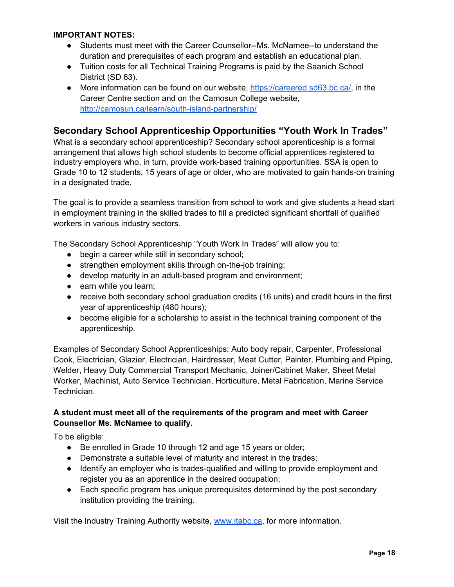#### **IMPORTANT NOTES:**

- Students must meet with the Career Counsellor--Ms. McNamee--to understand the duration and prerequisites of each program and establish an educational plan.
- Tuition costs for all Technical Training Programs is paid by the Saanich School District (SD 63).
- More information can be found on our website, https://careered.sd63.bc.ca/, in the Career Centre section and on the Camosun College website, http://camosun.ca/learn/south-island-partnership/

#### **Secondary School Apprenticeship Opportunities "Youth Work In Trades"**

What is a secondary school apprenticeship? Secondary school apprenticeship is a formal arrangement that allows high school students to become official apprentices registered to industry employers who, in turn, provide work-based training opportunities. SSA is open to Grade 10 to 12 students, 15 years of age or older, who are motivated to gain hands-on training in a designated trade.

The goal is to provide a seamless transition from school to work and give students a head start in employment training in the skilled trades to fill a predicted significant shortfall of qualified workers in various industry sectors.

The Secondary School Apprenticeship "Youth Work In Trades" will allow you to:

- begin a career while still in secondary school;
- strengthen employment skills through on-the-job training;
- develop maturity in an adult-based program and environment;
- earn while you learn;
- receive both secondary school graduation credits (16 units) and credit hours in the first year of apprenticeship (480 hours);
- become eligible for a scholarship to assist in the technical training component of the apprenticeship.

Examples of Secondary School Apprenticeships: Auto body repair, Carpenter, Professional Cook, Electrician, Glazier, Electrician, Hairdresser, Meat Cutter, Painter, Plumbing and Piping, Welder, Heavy Duty Commercial Transport Mechanic, Joiner/Cabinet Maker, Sheet Metal Worker, Machinist, Auto Service Technician, Horticulture, Metal Fabrication, Marine Service Technician.

#### **A student must meet all of the requirements of the program and meet with Career Counsellor Ms. McNamee to qualify.**

To be eligible:

- Be enrolled in Grade 10 through 12 and age 15 years or older;
- Demonstrate a suitable level of maturity and interest in the trades;
- Identify an employer who is trades-qualified and willing to provide employment and register you as an apprentice in the desired occupation;
- Each specific program has unique prerequisites determined by the post secondary institution providing the training.

Visit the Industry Training Authority website, www.itabc.ca, for more information.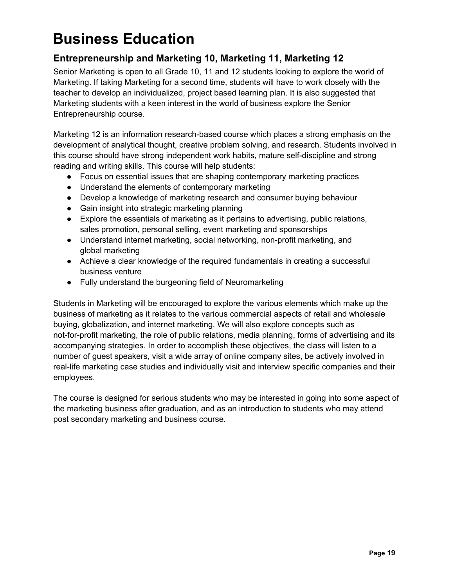## **Business Education**

## **Entrepreneurship and Marketing 10, Marketing 11, Marketing 12**

Senior Marketing is open to all Grade 10, 11 and 12 students looking to explore the world of Marketing. If taking Marketing for a second time, students will have to work closely with the teacher to develop an individualized, project based learning plan. It is also suggested that Marketing students with a keen interest in the world of business explore the Senior Entrepreneurship course.

Marketing 12 is an information research-based course which places a strong emphasis on the development of analytical thought, creative problem solving, and research. Students involved in this course should have strong independent work habits, mature self-discipline and strong reading and writing skills. This course will help students:

- Focus on essential issues that are shaping contemporary marketing practices
- Understand the elements of contemporary marketing
- Develop a knowledge of marketing research and consumer buying behaviour
- Gain insight into strategic marketing planning
- Explore the essentials of marketing as it pertains to advertising, public relations, sales promotion, personal selling, event marketing and sponsorships
- Understand internet marketing, social networking, non-profit marketing, and global marketing
- Achieve a clear knowledge of the required fundamentals in creating a successful business venture
- Fully understand the burgeoning field of Neuromarketing

Students in Marketing will be encouraged to explore the various elements which make up the business of marketing as it relates to the various commercial aspects of retail and wholesale buying, globalization, and internet marketing. We will also explore concepts such as not-for-profit marketing, the role of public relations, media planning, forms of advertising and its accompanying strategies. In order to accomplish these objectives, the class will listen to a number of guest speakers, visit a wide array of online company sites, be actively involved in real-life marketing case studies and individually visit and interview specific companies and their employees.

The course is designed for serious students who may be interested in going into some aspect of the marketing business after graduation, and as an introduction to students who may attend post secondary marketing and business course.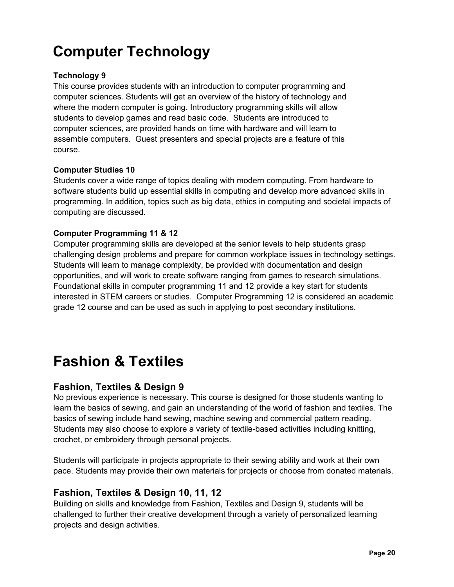## **Computer Technology**

#### **Technology 9**

This course provides students with an introduction to computer programming and computer sciences. Students will get an overview of the history of technology and where the modern computer is going. Introductory programming skills will allow students to develop games and read basic code. Students are introduced to computer sciences, are provided hands on time with hardware and will learn to assemble computers. Guest presenters and special projects are a feature of this course.

#### **Computer Studies 10**

Students cover a wide range of topics dealing with modern computing. From hardware to software students build up essential skills in computing and develop more advanced skills in programming. In addition, topics such as big data, ethics in computing and societal impacts of computing are discussed.

#### **Computer Programming 11 & 12**

Computer programming skills are developed at the senior levels to help students grasp challenging design problems and prepare for common workplace issues in technology settings. Students will learn to manage complexity, be provided with documentation and design opportunities, and will work to create software ranging from games to research simulations. Foundational skills in computer programming 11 and 12 provide a key start for students interested in STEM careers or studies. Computer Programming 12 is considered an academic grade 12 course and can be used as such in applying to post secondary institutions.

## **Fashion & Textiles**

#### **Fashion, Textiles & Design 9**

No previous experience is necessary. This course is designed for those students wanting to learn the basics of sewing, and gain an understanding of the world of fashion and textiles. The basics of sewing include hand sewing, machine sewing and commercial pattern reading. Students may also choose to explore a variety of textile-based activities including knitting, crochet, or embroidery through personal projects.

Students will participate in projects appropriate to their sewing ability and work at their own pace. Students may provide their own materials for projects or choose from donated materials.

#### **Fashion, Textiles & Design 10, 11, 12**

Building on skills and knowledge from Fashion, Textiles and Design 9, students will be challenged to further their creative development through a variety of personalized learning projects and design activities.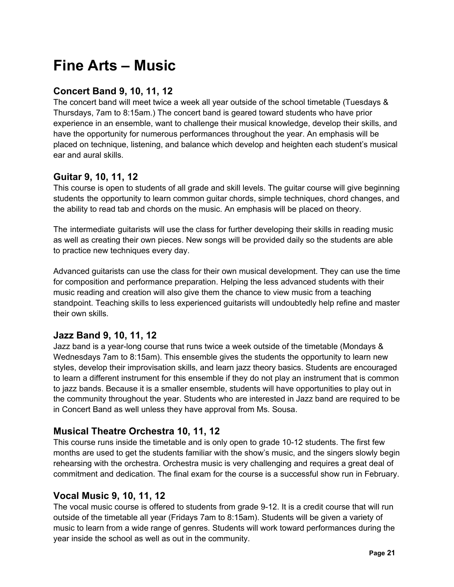## **Fine Arts – Music**

### **Concert Band 9, 10, 11, 12**

The concert band will meet twice a week all year outside of the school timetable (Tuesdays & Thursdays, 7am to 8:15am.) The concert band is geared toward students who have prior experience in an ensemble, want to challenge their musical knowledge, develop their skills, and have the opportunity for numerous performances throughout the year. An emphasis will be placed on technique, listening, and balance which develop and heighten each student's musical ear and aural skills.

#### **Guitar 9, 10, 11, 12**

This course is open to students of all grade and skill levels. The guitar course will give beginning students the opportunity to learn common guitar chords, simple techniques, chord changes, and the ability to read tab and chords on the music. An emphasis will be placed on theory.

The intermediate guitarists will use the class for further developing their skills in reading music as well as creating their own pieces. New songs will be provided daily so the students are able to practice new techniques every day.

Advanced guitarists can use the class for their own musical development. They can use the time for composition and performance preparation. Helping the less advanced students with their music reading and creation will also give them the chance to view music from a teaching standpoint. Teaching skills to less experienced guitarists will undoubtedly help refine and master their own skills.

## **Jazz Band 9, 10, 11, 12**

Jazz band is a year-long course that runs twice a week outside of the timetable (Mondays & Wednesdays 7am to 8:15am). This ensemble gives the students the opportunity to learn new styles, develop their improvisation skills, and learn jazz theory basics. Students are encouraged to learn a different instrument for this ensemble if they do not play an instrument that is common to jazz bands. Because it is a smaller ensemble, students will have opportunities to play out in the community throughout the year. Students who are interested in Jazz band are required to be in Concert Band as well unless they have approval from Ms. Sousa.

## **Musical Theatre Orchestra 10, 11, 12**

This course runs inside the timetable and is only open to grade 10-12 students. The first few months are used to get the students familiar with the show's music, and the singers slowly begin rehearsing with the orchestra. Orchestra music is very challenging and requires a great deal of commitment and dedication. The final exam for the course is a successful show run in February.

## **Vocal Music 9, 10, 11, 12**

The vocal music course is offered to students from grade 9-12. It is a credit course that will run outside of the timetable all year (Fridays 7am to 8:15am). Students will be given a variety of music to learn from a wide range of genres. Students will work toward performances during the year inside the school as well as out in the community.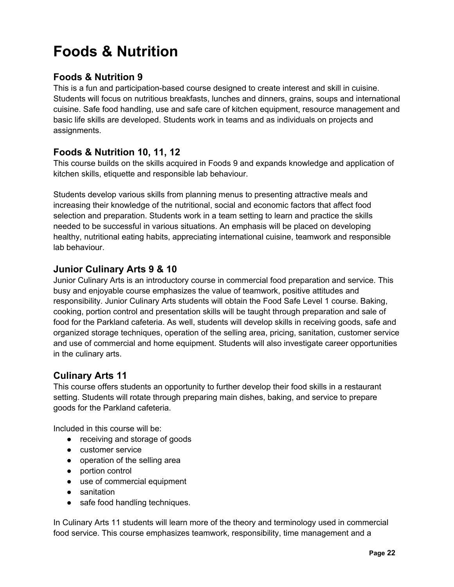## **Foods & Nutrition**

### **Foods & Nutrition 9**

This is a fun and participation-based course designed to create interest and skill in cuisine. Students will focus on nutritious breakfasts, lunches and dinners, grains, soups and international cuisine. Safe food handling, use and safe care of kitchen equipment, resource management and basic life skills are developed. Students work in teams and as individuals on projects and assignments.

## **Foods & Nutrition 10, 11, 12**

This course builds on the skills acquired in Foods 9 and expands knowledge and application of kitchen skills, etiquette and responsible lab behaviour.

Students develop various skills from planning menus to presenting attractive meals and increasing their knowledge of the nutritional, social and economic factors that affect food selection and preparation. Students work in a team setting to learn and practice the skills needed to be successful in various situations. An emphasis will be placed on developing healthy, nutritional eating habits, appreciating international cuisine, teamwork and responsible lab behaviour.

#### **Junior Culinary Arts 9 & 10**

Junior Culinary Arts is an introductory course in commercial food preparation and service. This busy and enjoyable course emphasizes the value of teamwork, positive attitudes and responsibility. Junior Culinary Arts students will obtain the Food Safe Level 1 course. Baking, cooking, portion control and presentation skills will be taught through preparation and sale of food for the Parkland cafeteria. As well, students will develop skills in receiving goods, safe and organized storage techniques, operation of the selling area, pricing, sanitation, customer service and use of commercial and home equipment. Students will also investigate career opportunities in the culinary arts.

## **Culinary Arts 11**

This course offers students an opportunity to further develop their food skills in a restaurant setting. Students will rotate through preparing main dishes, baking, and service to prepare goods for the Parkland cafeteria.

Included in this course will be:

- receiving and storage of goods
- customer service
- operation of the selling area
- portion control
- use of commercial equipment
- sanitation
- safe food handling techniques.

In Culinary Arts 11 students will learn more of the theory and terminology used in commercial food service. This course emphasizes teamwork, responsibility, time management and a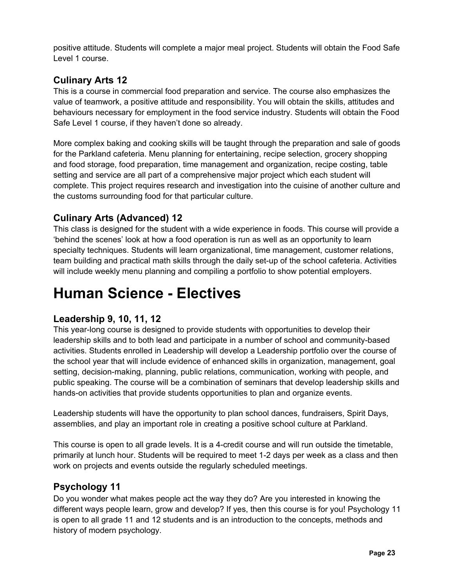positive attitude. Students will complete a major meal project. Students will obtain the Food Safe Level 1 course.

## **Culinary Arts 12**

This is a course in commercial food preparation and service. The course also emphasizes the value of teamwork, a positive attitude and responsibility. You will obtain the skills, attitudes and behaviours necessary for employment in the food service industry. Students will obtain the Food Safe Level 1 course, if they haven't done so already.

More complex baking and cooking skills will be taught through the preparation and sale of goods for the Parkland cafeteria. Menu planning for entertaining, recipe selection, grocery shopping and food storage, food preparation, time management and organization, recipe costing, table setting and service are all part of a comprehensive major project which each student will complete. This project requires research and investigation into the cuisine of another culture and the customs surrounding food for that particular culture.

## **Culinary Arts (Advanced) 12**

This class is designed for the student with a wide experience in foods. This course will provide a 'behind the scenes' look at how a food operation is run as well as an opportunity to learn specialty techniques. Students will learn organizational, time management, customer relations, team building and practical math skills through the daily set-up of the school cafeteria. Activities will include weekly menu planning and compiling a portfolio to show potential employers.

## **Human Science - Electives**

## **Leadership 9, 10, 11, 12**

This year-long course is designed to provide students with opportunities to develop their leadership skills and to both lead and participate in a number of school and community-based activities. Students enrolled in Leadership will develop a Leadership portfolio over the course of the school year that will include evidence of enhanced skills in organization, management, goal setting, decision-making, planning, public relations, communication, working with people, and public speaking. The course will be a combination of seminars that develop leadership skills and hands-on activities that provide students opportunities to plan and organize events.

Leadership students will have the opportunity to plan school dances, fundraisers, Spirit Days, assemblies, and play an important role in creating a positive school culture at Parkland.

This course is open to all grade levels. It is a 4-credit course and will run outside the timetable, primarily at lunch hour. Students will be required to meet 1-2 days per week as a class and then work on projects and events outside the regularly scheduled meetings.

#### **Psychology 11**

Do you wonder what makes people act the way they do? Are you interested in knowing the different ways people learn, grow and develop? If yes, then this course is for you! Psychology 11 is open to all grade 11 and 12 students and is an introduction to the concepts, methods and history of modern psychology.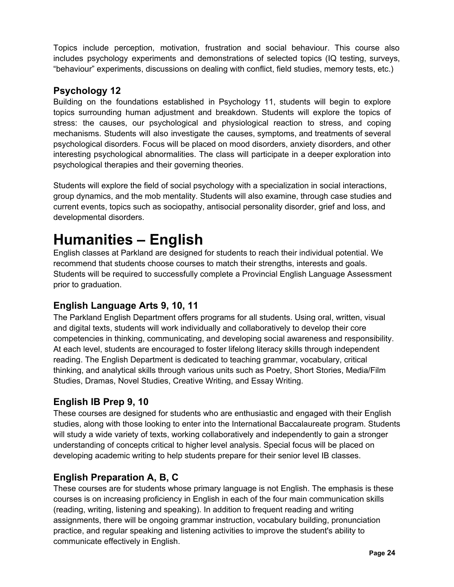Topics include perception, motivation, frustration and social behaviour. This course also includes psychology experiments and demonstrations of selected topics (IQ testing, surveys, "behaviour" experiments, discussions on dealing with conflict, field studies, memory tests, etc.)

### **Psychology 12**

Building on the foundations established in Psychology 11, students will begin to explore topics surrounding human adjustment and breakdown. Students will explore the topics of stress: the causes, our psychological and physiological reaction to stress, and coping mechanisms. Students will also investigate the causes, symptoms, and treatments of several psychological disorders. Focus will be placed on mood disorders, anxiety disorders, and other interesting psychological abnormalities. The class will participate in a deeper exploration into psychological therapies and their governing theories.

Students will explore the field of social psychology with a specialization in social interactions, group dynamics, and the mob mentality. Students will also examine, through case studies and current events, topics such as sociopathy, antisocial personality disorder, grief and loss, and developmental disorders.

## **Humanities – English**

English classes at Parkland are designed for students to reach their individual potential. We recommend that students choose courses to match their strengths, interests and goals. Students will be required to successfully complete a Provincial English Language Assessment prior to graduation.

## **English Language Arts 9, 10, 11**

The Parkland English Department offers programs for all students. Using oral, written, visual and digital texts, students will work individually and collaboratively to develop their core competencies in thinking, communicating, and developing social awareness and responsibility. At each level, students are encouraged to foster lifelong literacy skills through independent reading. The English Department is dedicated to teaching grammar, vocabulary, critical thinking, and analytical skills through various units such as Poetry, Short Stories, Media/Film Studies, Dramas, Novel Studies, Creative Writing, and Essay Writing.

## **English IB Prep 9, 10**

These courses are designed for students who are enthusiastic and engaged with their English studies, along with those looking to enter into the International Baccalaureate program. Students will study a wide variety of texts, working collaboratively and independently to gain a stronger understanding of concepts critical to higher level analysis. Special focus will be placed on developing academic writing to help students prepare for their senior level IB classes.

## **English Preparation A, B, C**

These courses are for students whose primary language is not English. The emphasis is these courses is on increasing proficiency in English in each of the four main communication skills (reading, writing, listening and speaking). In addition to frequent reading and writing assignments, there will be ongoing grammar instruction, vocabulary building, pronunciation practice, and regular speaking and listening activities to improve the student's ability to communicate effectively in English.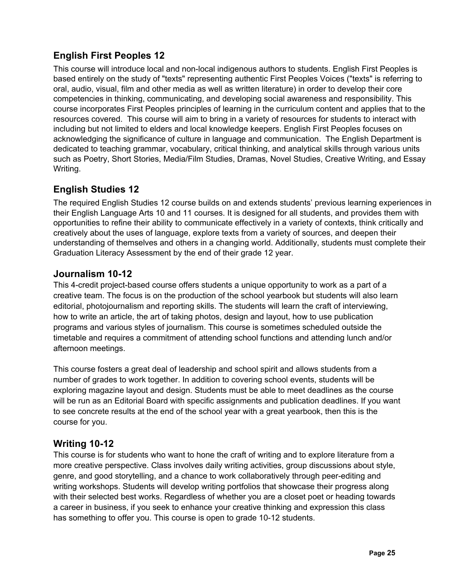## **English First Peoples 12**

This course will introduce local and non-local indigenous authors to students. English First Peoples is based entirely on the study of "texts" representing authentic First Peoples Voices ("texts" is referring to oral, audio, visual, film and other media as well as written literature) in order to develop their core competencies in thinking, communicating, and developing social awareness and responsibility. This course incorporates First Peoples principles of learning in the curriculum content and applies that to the resources covered. This course will aim to bring in a variety of resources for students to interact with including but not limited to elders and local knowledge keepers. English First Peoples focuses on acknowledging the significance of culture in language and communication. The English Department is dedicated to teaching grammar, vocabulary, critical thinking, and analytical skills through various units such as Poetry, Short Stories, Media/Film Studies, Dramas, Novel Studies, Creative Writing, and Essay Writing.

## **English Studies 12**

The required English Studies 12 course builds on and extends students' previous learning experiences in their English Language Arts 10 and 11 courses. It is designed for all students, and provides them with opportunities to refine their ability to communicate effectively in a variety of contexts, think critically and creatively about the uses of language, explore texts from a variety of sources, and deepen their understanding of themselves and others in a changing world. Additionally, students must complete their Graduation Literacy Assessment by the end of their grade 12 year.

#### **Journalism 10-12**

This 4-credit project-based course offers students a unique opportunity to work as a part of a creative team. The focus is on the production of the school yearbook but students will also learn editorial, photojournalism and reporting skills. The students will learn the craft of interviewing, how to write an article, the art of taking photos, design and layout, how to use publication programs and various styles of journalism. This course is sometimes scheduled outside the timetable and requires a commitment of attending school functions and attending lunch and/or afternoon meetings.

This course fosters a great deal of leadership and school spirit and allows students from a number of grades to work together. In addition to covering school events, students will be exploring magazine layout and design. Students must be able to meet deadlines as the course will be run as an Editorial Board with specific assignments and publication deadlines. If you want to see concrete results at the end of the school year with a great yearbook, then this is the course for you.

#### **Writing 10-12**

This course is for students who want to hone the craft of writing and to explore literature from a more creative perspective. Class involves daily writing activities, group discussions about style, genre, and good storytelling, and a chance to work collaboratively through peer-editing and writing workshops. Students will develop writing portfolios that showcase their progress along with their selected best works. Regardless of whether you are a closet poet or heading towards a career in business, if you seek to enhance your creative thinking and expression this class has something to offer you. This course is open to grade 10-12 students.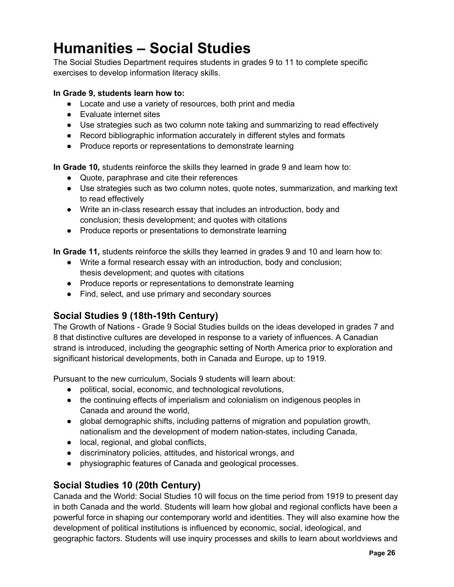## **Humanities – Social Studies**

The Social Studies Department requires students in grades 9 to 11 to complete specific exercises to develop information literacy skills.

#### **In Grade 9, students learn how to:**

- Locate and use a variety of resources, both print and media
- Evaluate internet sites
- Use strategies such as two column note taking and summarizing to read effectively
- Record bibliographic information accurately in different styles and formats
- Produce reports or representations to demonstrate learning

**In Grade 10***,* students reinforce the skills they learned in grade 9 and learn how to:

- Quote, paraphrase and cite their references
- Use strategies such as two column notes, quote notes, summarization, and marking text to read effectively
- Write an in-class research essay that includes an introduction, body and conclusion; thesis development; and quotes with citations
- Produce reports or presentations to demonstrate learning

**In Grade 11***,* students reinforce the skills they learned in grades 9 and 10 and learn how to:

- Write a formal research essay with an introduction, body and conclusion; thesis development; and quotes with citations
- Produce reports or representations to demonstrate learning
- Find, select, and use primary and secondary sources

#### **Social Studies 9 (18th-19th Century)**

The Growth of Nations - Grade 9 Social Studies builds on the ideas developed in grades 7 and 8 that distinctive cultures are developed in response to a variety of influences. A Canadian strand is introduced, including the geographic setting of North America prior to exploration and significant historical developments, both in Canada and Europe, up to 1919.

Pursuant to the new curriculum, Socials 9 students will learn about:

- political, social, economic, and technological revolutions,
- the continuing effects of imperialism and colonialism on indigenous peoples in Canada and around the world,
- global demographic shifts, including patterns of migration and population growth, nationalism and the development of modern nation-states, including Canada,
- local, regional, and global conflicts,
- discriminatory policies, attitudes, and historical wrongs, and
- physiographic features of Canada and geological processes.

#### **Social Studies 10 (20th Century)**

Canada and the World: Social Studies 10 will focus on the time period from 1919 to present day in both Canada and the world. Students will learn how global and regional conflicts have been a powerful force in shaping our contemporary world and identities. They will also examine how the development of political institutions is influenced by economic, social, ideological, and geographic factors. Students will use inquiry processes and skills to learn about worldviews and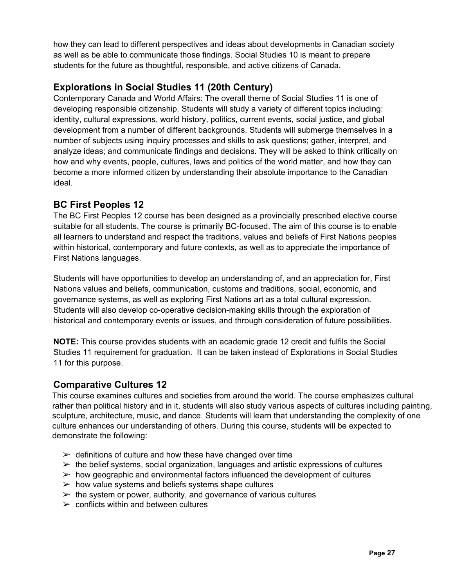how they can lead to different perspectives and ideas about developments in Canadian society as well as be able to communicate those findings. Social Studies 10 is meant to prepare students for the future as thoughtful, responsible, and active citizens of Canada.

## **Explorations in Social Studies 11 (20th Century)**

Contemporary Canada and World Affairs: The overall theme of Social Studies 11 is one of developing responsible citizenship. Students will study a variety of different topics including: identity, cultural expressions, world history, politics, current events, social justice, and global development from a number of different backgrounds. Students will submerge themselves in a number of subjects using inquiry processes and skills to ask questions; gather, interpret, and analyze ideas; and communicate findings and decisions. They will be asked to think critically on how and why events, people, cultures, laws and politics of the world matter, and how they can become a more informed citizen by understanding their absolute importance to the Canadian ideal.

### **BC First Peoples 12**

The BC First Peoples 12 course has been designed as a provincially prescribed elective course suitable for all students. The course is primarily BC-focused. The aim of this course is to enable all learners to understand and respect the traditions, values and beliefs of First Nations peoples within historical, contemporary and future contexts, as well as to appreciate the importance of First Nations languages.

Students will have opportunities to develop an understanding of, and an appreciation for, First Nations values and beliefs, communication, customs and traditions, social, economic, and governance systems, as well as exploring First Nations art as a total cultural expression. Students will also develop co-operative decision-making skills through the exploration of historical and contemporary events or issues, and through consideration of future possibilities.

**NOTE:** This course provides students with an academic grade 12 credit and fulfils the Social Studies 11 requirement for graduation. It can be taken instead of Explorations in Social Studies 11 for this purpose.

## **Comparative Cultures 12**

This course examines cultures and societies from around the world. The course emphasizes cultural rather than political history and in it, students will also study various aspects of cultures including painting, sculpture, architecture, music, and dance. Students will learn that understanding the complexity of one culture enhances our understanding of others. During this course, students will be expected to demonstrate the following:

- $\triangleright$  definitions of culture and how these have changed over time
- $\triangleright$  the belief systems, social organization, languages and artistic expressions of cultures
- $\triangleright$  how geographic and environmental factors influenced the development of cultures
- $\triangleright$  how value systems and beliefs systems shape cultures
- $\triangleright$  the system or power, authority, and governance of various cultures
- $\ge$  conflicts within and between cultures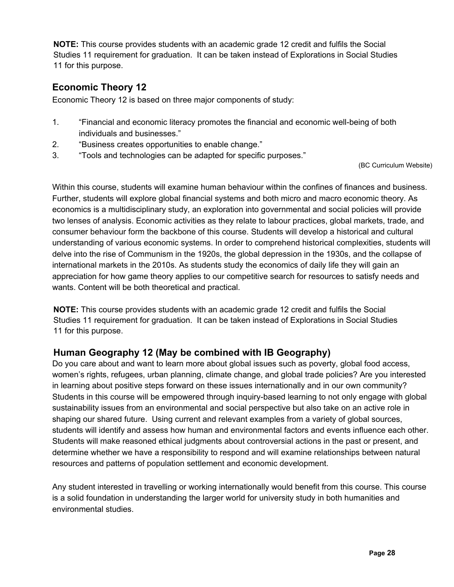**NOTE:** This course provides students with an academic grade 12 credit and fulfils the Social Studies 11 requirement for graduation. It can be taken instead of Explorations in Social Studies 11 for this purpose.

#### **Economic Theory 12**

Economic Theory 12 is based on three major components of study:

- 1. "Financial and economic literacy promotes the financial and economic well-being of both individuals and businesses."
- 2. "Business creates opportunities to enable change."
- 3. "Tools and technologies can be adapted for specific purposes."

(BC Curriculum Website)

Within this course, students will examine human behaviour within the confines of finances and business. Further, students will explore global financial systems and both micro and macro economic theory. As economics is a multidisciplinary study, an exploration into governmental and social policies will provide two lenses of analysis. Economic activities as they relate to labour practices, global markets, trade, and consumer behaviour form the backbone of this course. Students will develop a historical and cultural understanding of various economic systems. In order to comprehend historical complexities, students will delve into the rise of Communism in the 1920s, the global depression in the 1930s, and the collapse of international markets in the 2010s. As students study the economics of daily life they will gain an appreciation for how game theory applies to our competitive search for resources to satisfy needs and wants. Content will be both theoretical and practical.

**NOTE:** This course provides students with an academic grade 12 credit and fulfils the Social Studies 11 requirement for graduation. It can be taken instead of Explorations in Social Studies 11 for this purpose.

## **Human Geography 12 (May be combined with IB Geography)**

Do you care about and want to learn more about global issues such as poverty, global food access, women's rights, refugees, urban planning, climate change, and global trade policies? Are you interested in learning about positive steps forward on these issues internationally and in our own community? Students in this course will be empowered through inquiry-based learning to not only engage with global sustainability issues from an environmental and social perspective but also take on an active role in shaping our shared future. Using current and relevant examples from a variety of global sources, students will identify and assess how human and environmental factors and events influence each other. Students will make reasoned ethical judgments about controversial actions in the past or present, and determine whether we have a responsibility to respond and will examine relationships between natural resources and patterns of population settlement and economic development.

Any student interested in travelling or working internationally would benefit from this course. This course is a solid foundation in understanding the larger world for university study in both humanities and environmental studies.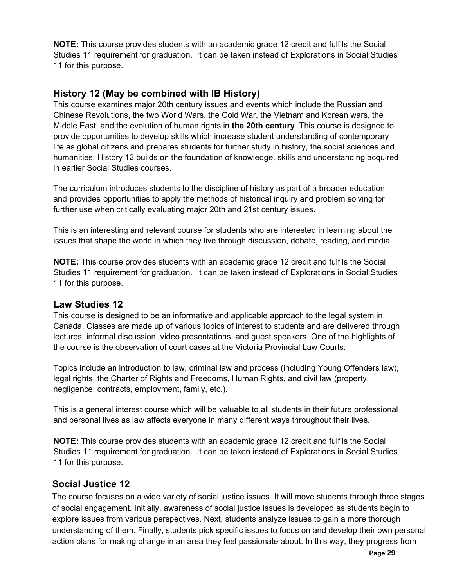**NOTE:** This course provides students with an academic grade 12 credit and fulfils the Social Studies 11 requirement for graduation. It can be taken instead of Explorations in Social Studies 11 for this purpose.

#### **History 12 (May be combined with IB History)**

This course examines major 20th century issues and events which include the Russian and Chinese Revolutions, the two World Wars, the Cold War, the Vietnam and Korean wars, the Middle East, and the evolution of human rights in **the 20th century**. This course is designed to provide opportunities to develop skills which increase student understanding of contemporary life as global citizens and prepares students for further study in history, the social sciences and humanities. History 12 builds on the foundation of knowledge, skills and understanding acquired in earlier Social Studies courses.

The curriculum introduces students to the discipline of history as part of a broader education and provides opportunities to apply the methods of historical inquiry and problem solving for further use when critically evaluating major 20th and 21st century issues.

This is an interesting and relevant course for students who are interested in learning about the issues that shape the world in which they live through discussion, debate, reading, and media.

**NOTE:** This course provides students with an academic grade 12 credit and fulfils the Social Studies 11 requirement for graduation. It can be taken instead of Explorations in Social Studies 11 for this purpose.

#### **Law Studies 12**

This course is designed to be an informative and applicable approach to the legal system in Canada. Classes are made up of various topics of interest to students and are delivered through lectures, informal discussion, video presentations, and guest speakers. One of the highlights of the course is the observation of court cases at the Victoria Provincial Law Courts.

Topics include an introduction to law, criminal law and process (including Young Offenders law), legal rights, the Charter of Rights and Freedoms, Human Rights, and civil law (property, negligence, contracts, employment, family, etc.).

This is a general interest course which will be valuable to all students in their future professional and personal lives as law affects everyone in many different ways throughout their lives.

**NOTE:** This course provides students with an academic grade 12 credit and fulfils the Social Studies 11 requirement for graduation. It can be taken instead of Explorations in Social Studies 11 for this purpose.

#### **Social Justice 12**

The course focuses on a wide variety of social justice issues. It will move students through three stages of social engagement. Initially, awareness of social justice issues is developed as students begin to explore issues from various perspectives. Next, students analyze issues to gain a more thorough understanding of them. Finally, students pick specific issues to focus on and develop their own personal action plans for making change in an area they feel passionate about. In this way, they progress from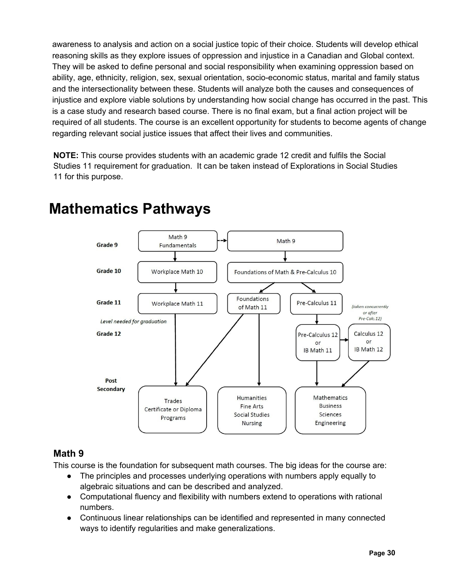awareness to analysis and action on a social justice topic of their choice. Students will develop ethical reasoning skills as they explore issues of oppression and injustice in a Canadian and Global context. They will be asked to define personal and social responsibility when examining oppression based on ability, age, ethnicity, religion, sex, sexual orientation, socio-economic status, marital and family status and the intersectionality between these. Students will analyze both the causes and consequences of injustice and explore viable solutions by understanding how social change has occurred in the past. This is a case study and research based course. There is no final exam, but a final action project will be required of all students. The course is an excellent opportunity for students to become agents of change regarding relevant social justice issues that affect their lives and communities.

**NOTE:** This course provides students with an academic grade 12 credit and fulfils the Social Studies 11 requirement for graduation. It can be taken instead of Explorations in Social Studies 11 for this purpose.



## **Mathematics Pathways**

## **Math 9**

This course is the foundation for subsequent math courses. The big ideas for the course are:

- The principles and processes underlying operations with numbers apply equally to algebraic situations and can be described and analyzed.
- Computational fluency and flexibility with numbers extend to operations with rational numbers.
- Continuous linear relationships can be identified and represented in many connected ways to identify regularities and make generalizations.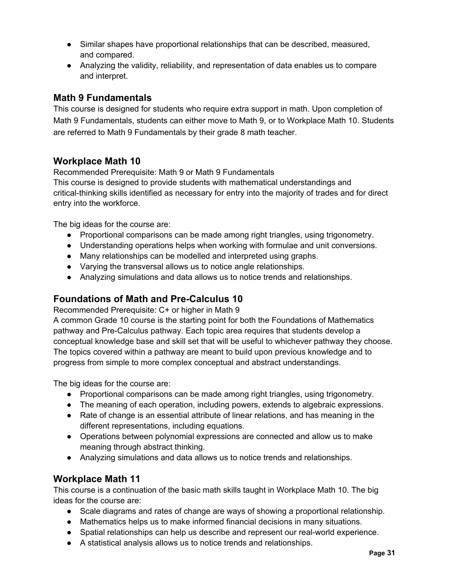- Similar shapes have proportional relationships that can be described, measured, and compared.
- Analyzing the validity, reliability, and representation of data enables us to compare and interpret.

#### **Math 9 Fundamentals**

This course is designed for students who require extra support in math. Upon completion of Math 9 Fundamentals, students can either move to Math 9, or to Workplace Math 10. Students are referred to Math 9 Fundamentals by their grade 8 math teacher.

#### **Workplace Math 10**

Recommended Prerequisite: Math 9 or Math 9 Fundamentals This course is designed to provide students with mathematical understandings and critical-thinking skills identified as necessary for entry into the majority of trades and for direct entry into the workforce.

The big ideas for the course are:

- Proportional comparisons can be made among right triangles, using trigonometry.
- Understanding operations helps when working with formulae and unit conversions.
- Many relationships can be modelled and interpreted using graphs.
- Varying the transversal allows us to notice angle relationships.
- Analyzing simulations and data allows us to notice trends and relationships.

#### **Foundations of Math and Pre-Calculus 10**

Recommended Prerequisite: C+ or higher in Math 9

A common Grade 10 course is the starting point for both the Foundations of Mathematics pathway and Pre-Calculus pathway. Each topic area requires that students develop a conceptual knowledge base and skill set that will be useful to whichever pathway they choose. The topics covered within a pathway are meant to build upon previous knowledge and to progress from simple to more complex conceptual and abstract understandings.

The big ideas for the course are:

- Proportional comparisons can be made among right triangles, using trigonometry.
- The meaning of each operation, including powers, extends to algebraic expressions.
- Rate of change is an essential attribute of linear relations, and has meaning in the different representations, including equations.
- Operations between polynomial expressions are connected and allow us to make meaning through abstract thinking.
- Analyzing simulations and data allows us to notice trends and relationships.

#### **Workplace Math 11**

This course is a continuation of the basic math skills taught in Workplace Math 10. The big ideas for the course are:

- Scale diagrams and rates of change are ways of showing a proportional relationship.
- Mathematics helps us to make informed financial decisions in many situations.
- Spatial relationships can help us describe and represent our real-world experience.
- A statistical analysis allows us to notice trends and relationships.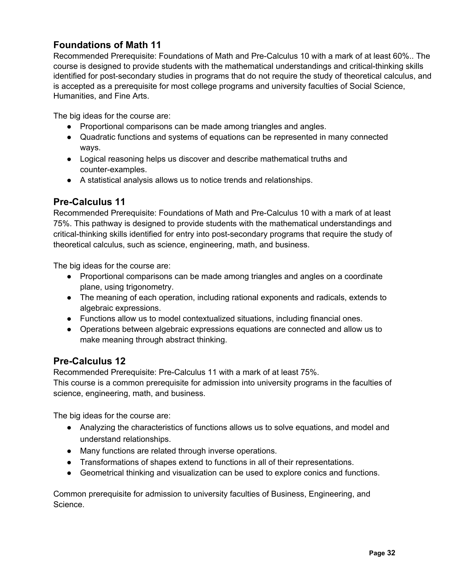## **Foundations of Math 11**

Recommended Prerequisite: Foundations of Math and Pre-Calculus 10 with a mark of at least 60%.. The course is designed to provide students with the mathematical understandings and critical-thinking skills identified for post-secondary studies in programs that do not require the study of theoretical calculus, and is accepted as a prerequisite for most college programs and university faculties of Social Science, Humanities, and Fine Arts.

The big ideas for the course are:

- Proportional comparisons can be made among triangles and angles.
- Quadratic functions and systems of equations can be represented in many connected ways.
- Logical reasoning helps us discover and describe mathematical truths and counter-examples.
- A statistical analysis allows us to notice trends and relationships.

### **Pre-Calculus 11**

Recommended Prerequisite: Foundations of Math and Pre-Calculus 10 with a mark of at least 75%. This pathway is designed to provide students with the mathematical understandings and critical-thinking skills identified for entry into post-secondary programs that require the study of theoretical calculus, such as science, engineering, math, and business.

The big ideas for the course are:

- Proportional comparisons can be made among triangles and angles on a coordinate plane, using trigonometry.
- The meaning of each operation, including rational exponents and radicals, extends to algebraic expressions.
- Functions allow us to model contextualized situations, including financial ones.
- Operations between algebraic expressions equations are connected and allow us to make meaning through abstract thinking.

#### **Pre-Calculus 12**

Recommended Prerequisite: Pre-Calculus 11 with a mark of at least 75%.

This course is a common prerequisite for admission into university programs in the faculties of science, engineering, math, and business.

The big ideas for the course are:

- Analyzing the characteristics of functions allows us to solve equations, and model and understand relationships.
- Many functions are related through inverse operations.
- Transformations of shapes extend to functions in all of their representations.
- Geometrical thinking and visualization can be used to explore conics and functions.

Common prerequisite for admission to university faculties of Business, Engineering, and Science.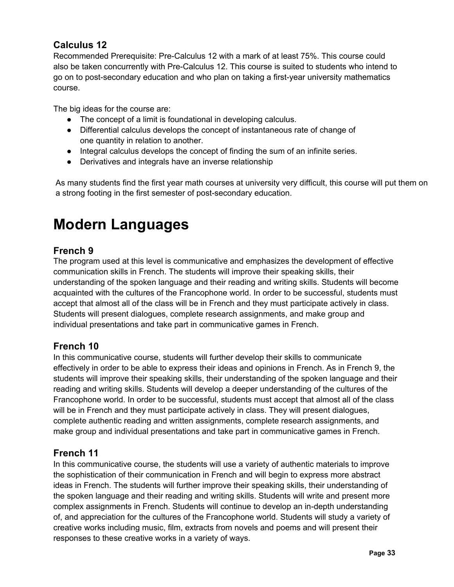## **Calculus 12**

Recommended Prerequisite: Pre-Calculus 12 with a mark of at least 75%. This course could also be taken concurrently with Pre-Calculus 12. This course is suited to students who intend to go on to post-secondary education and who plan on taking a first-year university mathematics course.

The big ideas for the course are:

- The concept of a limit is foundational in developing calculus.
- Differential calculus develops the concept of instantaneous rate of change of one quantity in relation to another.
- Integral calculus develops the concept of finding the sum of an infinite series.
- Derivatives and integrals have an inverse relationship

As many students find the first year math courses at university very difficult, this course will put them on a strong footing in the first semester of post-secondary education.

## **Modern Languages**

## **French 9**

The program used at this level is communicative and emphasizes the development of effective communication skills in French. The students will improve their speaking skills, their understanding of the spoken language and their reading and writing skills. Students will become acquainted with the cultures of the Francophone world. In order to be successful, students must accept that almost all of the class will be in French and they must participate actively in class. Students will present dialogues, complete research assignments, and make group and individual presentations and take part in communicative games in French.

#### **French 10**

In this communicative course, students will further develop their skills to communicate effectively in order to be able to express their ideas and opinions in French. As in French 9, the students will improve their speaking skills, their understanding of the spoken language and their reading and writing skills. Students will develop a deeper understanding of the cultures of the Francophone world. In order to be successful, students must accept that almost all of the class will be in French and they must participate actively in class. They will present dialogues, complete authentic reading and written assignments, complete research assignments, and make group and individual presentations and take part in communicative games in French.

## **French 11**

In this communicative course, the students will use a variety of authentic materials to improve the sophistication of their communication in French and will begin to express more abstract ideas in French. The students will further improve their speaking skills, their understanding of the spoken language and their reading and writing skills. Students will write and present more complex assignments in French. Students will continue to develop an in-depth understanding of, and appreciation for the cultures of the Francophone world. Students will study a variety of creative works including music, film, extracts from novels and poems and will present their responses to these creative works in a variety of ways.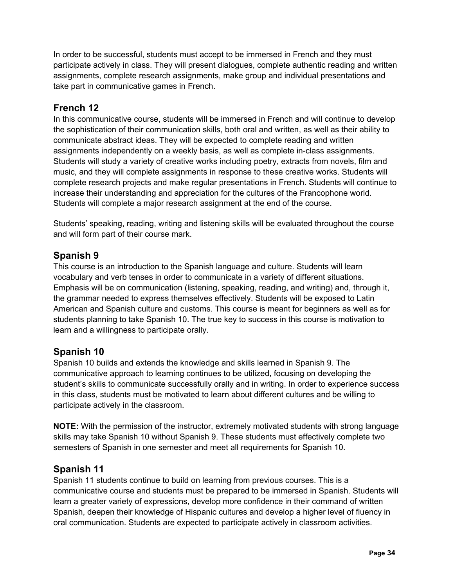In order to be successful, students must accept to be immersed in French and they must participate actively in class. They will present dialogues, complete authentic reading and written assignments, complete research assignments, make group and individual presentations and take part in communicative games in French.

#### **French 12**

In this communicative course, students will be immersed in French and will continue to develop the sophistication of their communication skills, both oral and written, as well as their ability to communicate abstract ideas. They will be expected to complete reading and written assignments independently on a weekly basis, as well as complete in-class assignments. Students will study a variety of creative works including poetry, extracts from novels, film and music, and they will complete assignments in response to these creative works. Students will complete research projects and make regular presentations in French. Students will continue to increase their understanding and appreciation for the cultures of the Francophone world. Students will complete a major research assignment at the end of the course.

Students' speaking, reading, writing and listening skills will be evaluated throughout the course and will form part of their course mark.

#### **Spanish 9**

This course is an introduction to the Spanish language and culture. Students will learn vocabulary and verb tenses in order to communicate in a variety of different situations. Emphasis will be on communication (listening, speaking, reading, and writing) and, through it, the grammar needed to express themselves effectively. Students will be exposed to Latin American and Spanish culture and customs. This course is meant for beginners as well as for students planning to take Spanish 10. The true key to success in this course is motivation to learn and a willingness to participate orally.

#### **Spanish 10**

Spanish 10 builds and extends the knowledge and skills learned in Spanish 9. The communicative approach to learning continues to be utilized, focusing on developing the student's skills to communicate successfully orally and in writing. In order to experience success in this class, students must be motivated to learn about different cultures and be willing to participate actively in the classroom.

**NOTE:** With the permission of the instructor, extremely motivated students with strong language skills may take Spanish 10 without Spanish 9. These students must effectively complete two semesters of Spanish in one semester and meet all requirements for Spanish 10.

#### **Spanish 11**

Spanish 11 students continue to build on learning from previous courses. This is a communicative course and students must be prepared to be immersed in Spanish. Students will learn a greater variety of expressions, develop more confidence in their command of written Spanish, deepen their knowledge of Hispanic cultures and develop a higher level of fluency in oral communication. Students are expected to participate actively in classroom activities.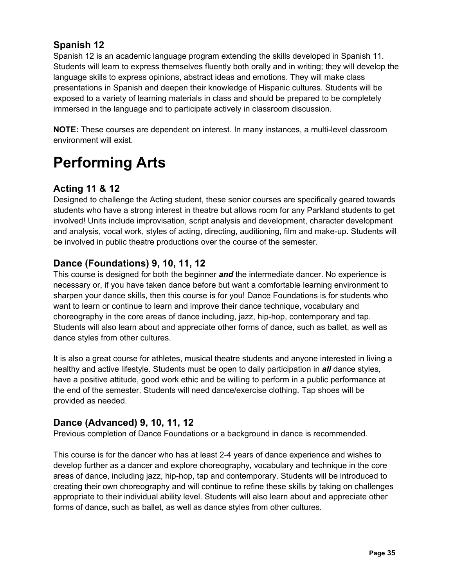## **Spanish 12**

Spanish 12 is an academic language program extending the skills developed in Spanish 11. Students will learn to express themselves fluently both orally and in writing; they will develop the language skills to express opinions, abstract ideas and emotions. They will make class presentations in Spanish and deepen their knowledge of Hispanic cultures. Students will be exposed to a variety of learning materials in class and should be prepared to be completely immersed in the language and to participate actively in classroom discussion.

**NOTE:** These courses are dependent on interest. In many instances, a multi-level classroom environment will exist.

## **Performing Arts**

## **Acting 11 & 12**

Designed to challenge the Acting student, these senior courses are specifically geared towards students who have a strong interest in theatre but allows room for any Parkland students to get involved! Units include improvisation, script analysis and development, character development and analysis, vocal work, styles of acting, directing, auditioning, film and make-up. Students will be involved in public theatre productions over the course of the semester.

## **Dance (Foundations) 9, 10, 11, 12**

This course is designed for both the beginner *and* the intermediate dancer. No experience is necessary or, if you have taken dance before but want a comfortable learning environment to sharpen your dance skills, then this course is for you! Dance Foundations is for students who want to learn or continue to learn and improve their dance technique, vocabulary and choreography in the core areas of dance including, jazz, hip-hop, contemporary and tap. Students will also learn about and appreciate other forms of dance, such as ballet, as well as dance styles from other cultures.

It is also a great course for athletes, musical theatre students and anyone interested in living a healthy and active lifestyle. Students must be open to daily participation in *all* dance styles, have a positive attitude, good work ethic and be willing to perform in a public performance at the end of the semester. Students will need dance/exercise clothing. Tap shoes will be provided as needed.

## **Dance (Advanced) 9, 10, 11, 12**

Previous completion of Dance Foundations or a background in dance is recommended.

This course is for the dancer who has at least 2-4 years of dance experience and wishes to develop further as a dancer and explore choreography, vocabulary and technique in the core areas of dance, including jazz, hip-hop, tap and contemporary. Students will be introduced to creating their own choreography and will continue to refine these skills by taking on challenges appropriate to their individual ability level. Students will also learn about and appreciate other forms of dance, such as ballet, as well as dance styles from other cultures.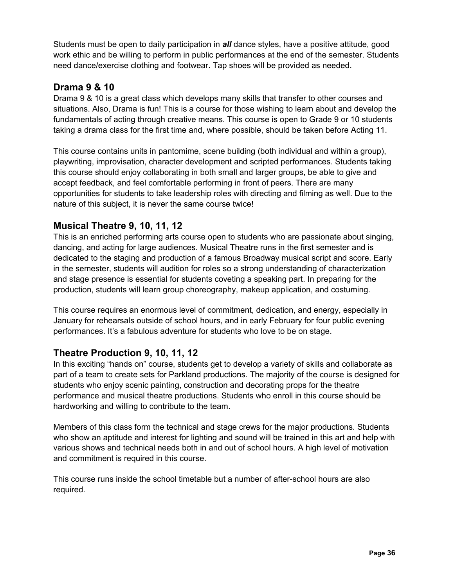Students must be open to daily participation in *all* dance styles, have a positive attitude, good work ethic and be willing to perform in public performances at the end of the semester. Students need dance/exercise clothing and footwear. Tap shoes will be provided as needed.

### **Drama 9 & 10**

Drama 9 & 10 is a great class which develops many skills that transfer to other courses and situations. Also, Drama is fun! This is a course for those wishing to learn about and develop the fundamentals of acting through creative means. This course is open to Grade 9 or 10 students taking a drama class for the first time and, where possible, should be taken before Acting 11.

This course contains units in pantomime, scene building (both individual and within a group), playwriting, improvisation, character development and scripted performances. Students taking this course should enjoy collaborating in both small and larger groups, be able to give and accept feedback, and feel comfortable performing in front of peers. There are many opportunities for students to take leadership roles with directing and filming as well. Due to the nature of this subject, it is never the same course twice!

### **Musical Theatre 9, 10, 11, 12**

This is an enriched performing arts course open to students who are passionate about singing, dancing, and acting for large audiences. Musical Theatre runs in the first semester and is dedicated to the staging and production of a famous Broadway musical script and score. Early in the semester, students will audition for roles so a strong understanding of characterization and stage presence is essential for students coveting a speaking part. In preparing for the production, students will learn group choreography, makeup application, and costuming.

This course requires an enormous level of commitment, dedication, and energy, especially in January for rehearsals outside of school hours, and in early February for four public evening performances. It's a fabulous adventure for students who love to be on stage.

## **Theatre Production 9, 10, 11, 12**

In this exciting "hands on" course, students get to develop a variety of skills and collaborate as part of a team to create sets for Parkland productions. The majority of the course is designed for students who enjoy scenic painting, construction and decorating props for the theatre performance and musical theatre productions. Students who enroll in this course should be hardworking and willing to contribute to the team.

Members of this class form the technical and stage crews for the major productions. Students who show an aptitude and interest for lighting and sound will be trained in this art and help with various shows and technical needs both in and out of school hours. A high level of motivation and commitment is required in this course.

This course runs inside the school timetable but a number of after-school hours are also required.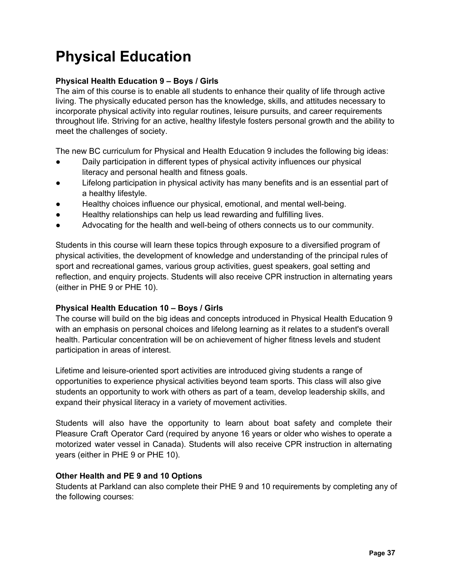## **Physical Education**

#### **Physical Health Education 9 – Boys / Girls**

The aim of this course is to enable all students to enhance their quality of life through active living. The physically educated person has the knowledge, skills, and attitudes necessary to incorporate physical activity into regular routines, leisure pursuits, and career requirements throughout life. Striving for an active, healthy lifestyle fosters personal growth and the ability to meet the challenges of society.

The new BC curriculum for Physical and Health Education 9 includes the following big ideas:

- Daily participation in different types of physical activity influences our physical literacy and personal health and fitness goals.
- Lifelong participation in physical activity has many benefits and is an essential part of a healthy lifestyle.
- Healthy choices influence our physical, emotional, and mental well-being.
- Healthy relationships can help us lead rewarding and fulfilling lives.
- Advocating for the health and well-being of others connects us to our community.

Students in this course will learn these topics through exposure to a diversified program of physical activities, the development of knowledge and understanding of the principal rules of sport and recreational games, various group activities, guest speakers, goal setting and reflection, and enquiry projects. Students will also receive CPR instruction in alternating years (either in PHE 9 or PHE 10).

#### **Physical Health Education 10 – Boys / Girls**

The course will build on the big ideas and concepts introduced in Physical Health Education 9 with an emphasis on personal choices and lifelong learning as it relates to a student's overall health. Particular concentration will be on achievement of higher fitness levels and student participation in areas of interest.

Lifetime and leisure-oriented sport activities are introduced giving students a range of opportunities to experience physical activities beyond team sports. This class will also give students an opportunity to work with others as part of a team, develop leadership skills, and expand their physical literacy in a variety of movement activities.

Students will also have the opportunity to learn about boat safety and complete their Pleasure Craft Operator Card (required by anyone 16 years or older who wishes to operate a motorized water vessel in Canada). Students will also receive CPR instruction in alternating years (either in PHE 9 or PHE 10).

#### **Other Health and PE 9 and 10 Options**

Students at Parkland can also complete their PHE 9 and 10 requirements by completing any of the following courses: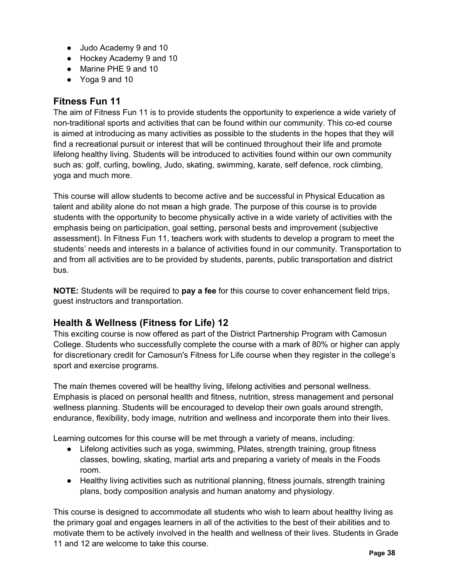- Judo Academy 9 and 10
- Hockey Academy 9 and 10
- Marine PHE 9 and 10
- Yoga 9 and 10

### **Fitness Fun 11**

The aim of Fitness Fun 11 is to provide students the opportunity to experience a wide variety of non-traditional sports and activities that can be found within our community. This co-ed course is aimed at introducing as many activities as possible to the students in the hopes that they will find a recreational pursuit or interest that will be continued throughout their life and promote lifelong healthy living. Students will be introduced to activities found within our own community such as: golf, curling, bowling, Judo, skating, swimming, karate, self defence, rock climbing, yoga and much more.

This course will allow students to become active and be successful in Physical Education as talent and ability alone do not mean a high grade. The purpose of this course is to provide students with the opportunity to become physically active in a wide variety of activities with the emphasis being on participation, goal setting, personal bests and improvement (subjective assessment). In Fitness Fun 11, teachers work with students to develop a program to meet the students' needs and interests in a balance of activities found in our community. Transportation to and from all activities are to be provided by students, parents, public transportation and district bus.

**NOTE:** Students will be required to **pay a fee** for this course to cover enhancement field trips, guest instructors and transportation.

## **Health & Wellness (Fitness for Life) 12**

This exciting course is now offered as part of the District Partnership Program with Camosun College. Students who successfully complete the course with a mark of 80% or higher can apply for discretionary credit for Camosun's Fitness for Life course when they register in the college's sport and exercise programs.

The main themes covered will be healthy living, lifelong activities and personal wellness. Emphasis is placed on personal health and fitness, nutrition, stress management and personal wellness planning. Students will be encouraged to develop their own goals around strength, endurance, flexibility, body image, nutrition and wellness and incorporate them into their lives.

Learning outcomes for this course will be met through a variety of means, including:

- Lifelong activities such as yoga, swimming, Pilates, strength training, group fitness classes, bowling, skating, martial arts and preparing a variety of meals in the Foods room.
- Healthy living activities such as nutritional planning, fitness journals, strength training plans, body composition analysis and human anatomy and physiology.

This course is designed to accommodate all students who wish to learn about healthy living as the primary goal and engages learners in all of the activities to the best of their abilities and to motivate them to be actively involved in the health and wellness of their lives. Students in Grade 11 and 12 are welcome to take this course.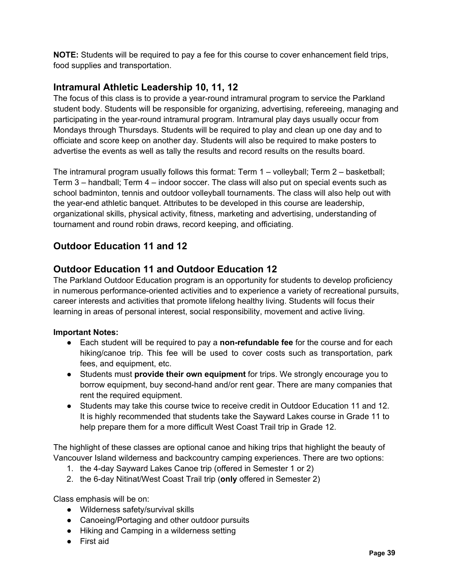**NOTE:** Students will be required to pay a fee for this course to cover enhancement field trips, food supplies and transportation.

## **Intramural Athletic Leadership 10, 11, 12**

The focus of this class is to provide a year-round intramural program to service the Parkland student body. Students will be responsible for organizing, advertising, refereeing, managing and participating in the year-round intramural program. Intramural play days usually occur from Mondays through Thursdays. Students will be required to play and clean up one day and to officiate and score keep on another day. Students will also be required to make posters to advertise the events as well as tally the results and record results on the results board.

The intramural program usually follows this format: Term 1 – volleyball; Term 2 – basketball; Term 3 – handball; Term 4 – indoor soccer. The class will also put on special events such as school badminton, tennis and outdoor volleyball tournaments. The class will also help out with the year-end athletic banquet. Attributes to be developed in this course are leadership, organizational skills, physical activity, fitness, marketing and advertising, understanding of tournament and round robin draws, record keeping, and officiating.

## **Outdoor Education 11 and 12**

## **Outdoor Education 11 and Outdoor Education 12**

The Parkland Outdoor Education program is an opportunity for students to develop proficiency in numerous performance-oriented activities and to experience a variety of recreational pursuits, career interests and activities that promote lifelong healthy living. Students will focus their learning in areas of personal interest, social responsibility, movement and active living.

#### **Important Notes:**

- Each student will be required to pay a **non-refundable fee** for the course and for each hiking/canoe trip. This fee will be used to cover costs such as transportation, park fees, and equipment, etc.
- Students must **provide their own equipment** for trips. We strongly encourage you to borrow equipment, buy second-hand and/or rent gear. There are many companies that rent the required equipment.
- Students may take this course twice to receive credit in Outdoor Education 11 and 12. It is highly recommended that students take the Sayward Lakes course in Grade 11 to help prepare them for a more difficult West Coast Trail trip in Grade 12.

The highlight of these classes are optional canoe and hiking trips that highlight the beauty of Vancouver Island wilderness and backcountry camping experiences. There are two options:

- 1. the 4-day Sayward Lakes Canoe trip (offered in Semester 1 or 2)
- 2. the 6-day Nitinat/West Coast Trail trip (**only** offered in Semester 2)

Class emphasis will be on:

- Wilderness safety/survival skills
- Canoeing/Portaging and other outdoor pursuits
- Hiking and Camping in a wilderness setting
- First aid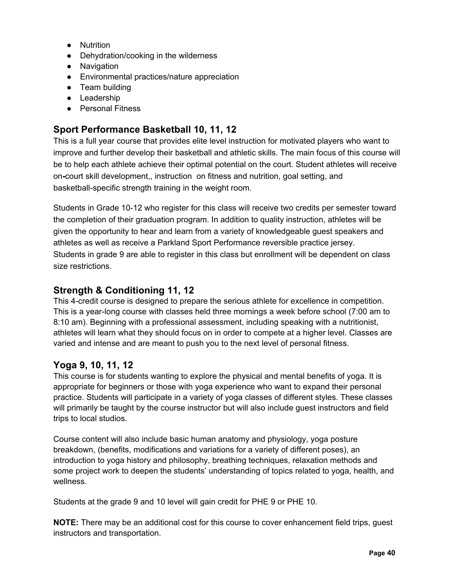- Nutrition
- Dehydration/cooking in the wilderness
- Navigation
- Environmental practices/nature appreciation
- Team building
- Leadership
- Personal Fitness

## **Sport Performance Basketball 10, 11, 12**

This is a full year course that provides elite level instruction for motivated players who want to improve and further develop their basketball and athletic skills. The main focus of this course will be to help each athlete achieve their optimal potential on the court. Student athletes will receive on**-**court skill development,, instruction on fitness and nutrition, goal setting, and basketball-specific strength training in the weight room.

Students in Grade 10-12 who register for this class will receive two credits per semester toward the completion of their graduation program. In addition to quality instruction, athletes will be given the opportunity to hear and learn from a variety of knowledgeable guest speakers and athletes as well as receive a Parkland Sport Performance reversible practice jersey. Students in grade 9 are able to register in this class but enrollment will be dependent on class size restrictions.

#### **Strength & Conditioning 11, 12**

This 4-credit course is designed to prepare the serious athlete for excellence in competition. This is a year-long course with classes held three mornings a week before school (7:00 am to 8:10 am). Beginning with a professional assessment, including speaking with a nutritionist, athletes will learn what they should focus on in order to compete at a higher level. Classes are varied and intense and are meant to push you to the next level of personal fitness.

#### **Yoga 9, 10, 11, 12**

This course is for students wanting to explore the physical and mental benefits of yoga. It is appropriate for beginners or those with yoga experience who want to expand their personal practice. Students will participate in a variety of yoga classes of different styles. These classes will primarily be taught by the course instructor but will also include guest instructors and field trips to local studios.

Course content will also include basic human anatomy and physiology, yoga posture breakdown, (benefits, modifications and variations for a variety of different poses), an introduction to yoga history and philosophy, breathing techniques, relaxation methods and some project work to deepen the students' understanding of topics related to yoga, health, and wellness.

Students at the grade 9 and 10 level will gain credit for PHE 9 or PHE 10.

**NOTE:** There may be an additional cost for this course to cover enhancement field trips, guest instructors and transportation.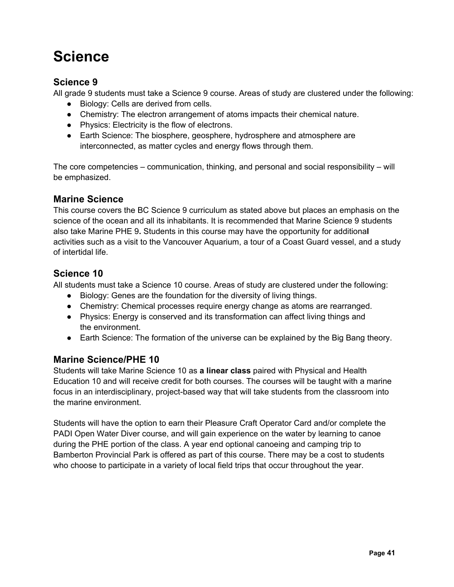## **Science**

### **Science 9**

All grade 9 students must take a Science 9 course. Areas of study are clustered under the following:

- Biology: Cells are derived from cells.
- Chemistry: The electron arrangement of atoms impacts their chemical nature.
- Physics: Electricity is the flow of electrons.
- Earth Science: The biosphere, geosphere, hydrosphere and atmosphere are interconnected, as matter cycles and energy flows through them.

The core competencies – communication, thinking, and personal and social responsibility – will be emphasized.

### **Marine Science**

This course covers the BC Science 9 curriculum as stated above but places an emphasis on the science of the ocean and all its inhabitants. It is recommended that Marine Science 9 students also take Marine PHE 9**.** Students in this course may have the opportunity for additiona**l** activities such as a visit to the Vancouver Aquarium, a tour of a Coast Guard vessel, and a study of intertidal life.

### **Science 10**

All students must take a Science 10 course. Areas of study are clustered under the following:

- Biology: Genes are the foundation for the diversity of living things.
- Chemistry: Chemical processes require energy change as atoms are rearranged.
- Physics: Energy is conserved and its transformation can affect living things and the environment.
- Earth Science: The formation of the universe can be explained by the Big Bang theory.

#### **Marine Science/PHE 10**

Students will take Marine Science 10 as **a linear class** paired with Physical and Health Education 10 and will receive credit for both courses. The courses will be taught with a marine focus in an interdisciplinary, project-based way that will take students from the classroom into the marine environment.

Students will have the option to earn their Pleasure Craft Operator Card and/or complete the PADI Open Water Diver course, and will gain experience on the water by learning to canoe during the PHE portion of the class. A year end optional canoeing and camping trip to Bamberton Provincial Park is offered as part of this course. There may be a cost to students who choose to participate in a variety of local field trips that occur throughout the year.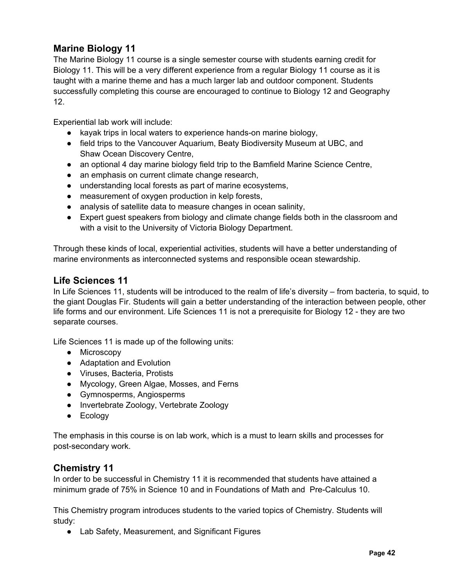## **Marine Biology 11**

The Marine Biology 11 course is a single semester course with students earning credit for Biology 11. This will be a very different experience from a regular Biology 11 course as it is taught with a marine theme and has a much larger lab and outdoor component. Students successfully completing this course are encouraged to continue to Biology 12 and Geography 12.

Experiential lab work will include:

- kayak trips in local waters to experience hands-on marine biology,
- field trips to the Vancouver Aquarium, Beaty Biodiversity Museum at UBC, and Shaw Ocean Discovery Centre,
- an optional 4 day marine biology field trip to the Bamfield Marine Science Centre,
- an emphasis on current climate change research,
- understanding local forests as part of marine ecosystems,
- measurement of oxygen production in kelp forests,
- analysis of satellite data to measure changes in ocean salinity,
- Expert guest speakers from biology and climate change fields both in the classroom and with a visit to the University of Victoria Biology Department.

Through these kinds of local, experiential activities, students will have a better understanding of marine environments as interconnected systems and responsible ocean stewardship.

#### **Life Sciences 11**

In Life Sciences 11, students will be introduced to the realm of life's diversity – from bacteria, to squid, to the giant Douglas Fir. Students will gain a better understanding of the interaction between people, other life forms and our environment. Life Sciences 11 is not a prerequisite for Biology 12 - they are two separate courses.

Life Sciences 11 is made up of the following units:

- Microscopy
- Adaptation and Evolution
- Viruses, Bacteria, Protists
- Mycology, Green Algae, Mosses, and Ferns
- Gymnosperms, Angiosperms
- Invertebrate Zoology, Vertebrate Zoology
- Ecology

The emphasis in this course is on lab work, which is a must to learn skills and processes for post-secondary work.

#### **Chemistry 11**

In order to be successful in Chemistry 11 it is recommended that students have attained a minimum grade of 75% in Science 10 and in Foundations of Math and Pre-Calculus 10.

This Chemistry program introduces students to the varied topics of Chemistry. Students will study:

• Lab Safety, Measurement, and Significant Figures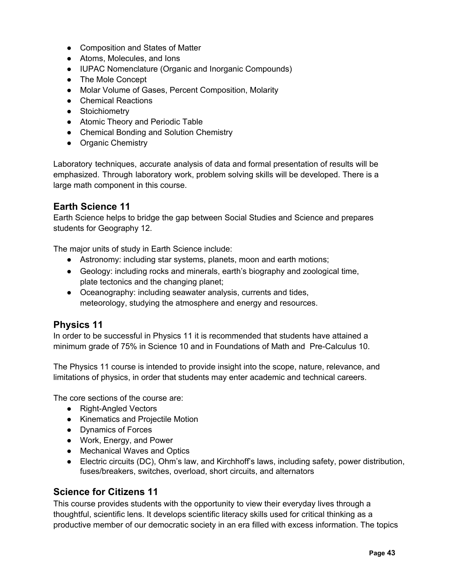- Composition and States of Matter
- Atoms, Molecules, and Ions
- IUPAC Nomenclature (Organic and Inorganic Compounds)
- The Mole Concept
- Molar Volume of Gases, Percent Composition, Molarity
- Chemical Reactions
- Stoichiometry
- Atomic Theory and Periodic Table
- Chemical Bonding and Solution Chemistry
- Organic Chemistry

Laboratory techniques, accurate analysis of data and formal presentation of results will be emphasized. Through laboratory work, problem solving skills will be developed. There is a large math component in this course.

#### **Earth Science 11**

Earth Science helps to bridge the gap between Social Studies and Science and prepares students for Geography 12.

The major units of study in Earth Science include:

- Astronomy: including star systems, planets, moon and earth motions;
- Geology: including rocks and minerals, earth's biography and zoological time, plate tectonics and the changing planet;
- Oceanography: including seawater analysis, currents and tides, meteorology, studying the atmosphere and energy and resources.

#### **Physics 11**

In order to be successful in Physics 11 it is recommended that students have attained a minimum grade of 75% in Science 10 and in Foundations of Math and Pre-Calculus 10.

The Physics 11 course is intended to provide insight into the scope, nature, relevance, and limitations of physics, in order that students may enter academic and technical careers.

The core sections of the course are:

- Right-Angled Vectors
- Kinematics and Projectile Motion
- Dynamics of Forces
- Work, Energy, and Power
- Mechanical Waves and Optics
- Electric circuits (DC), Ohm's law, and Kirchhoff's laws, including safety, power distribution, fuses/breakers, switches, overload, short circuits, and alternators

#### **Science for Citizens 11**

This course provides students with the opportunity to view their everyday lives through a thoughtful, scientific lens. It develops scientific literacy skills used for critical thinking as a productive member of our democratic society in an era filled with excess information. The topics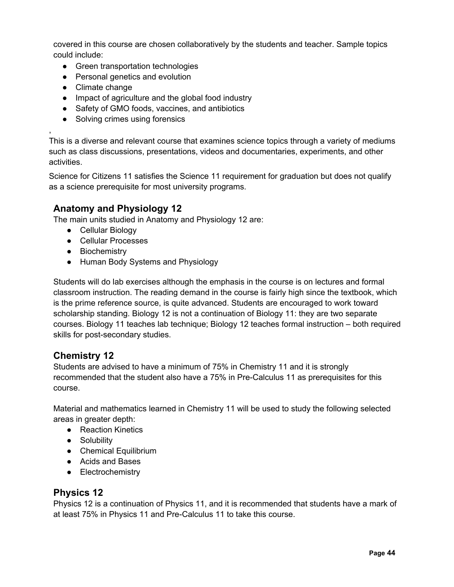covered in this course are chosen collaboratively by the students and teacher. Sample topics could include:

- Green transportation technologies
- Personal genetics and evolution
- Climate change

,

- Impact of agriculture and the global food industry
- Safety of GMO foods, vaccines, and antibiotics
- Solving crimes using forensics

This is a diverse and relevant course that examines science topics through a variety of mediums such as class discussions, presentations, videos and documentaries, experiments, and other activities.

Science for Citizens 11 satisfies the Science 11 requirement for graduation but does not qualify as a science prerequisite for most university programs.

#### **Anatomy and Physiology 12**

The main units studied in Anatomy and Physiology 12 are:

- Cellular Biology
- Cellular Processes
- Biochemistry
- Human Body Systems and Physiology

Students will do lab exercises although the emphasis in the course is on lectures and formal classroom instruction. The reading demand in the course is fairly high since the textbook, which is the prime reference source, is quite advanced. Students are encouraged to work toward scholarship standing. Biology 12 is not a continuation of Biology 11: they are two separate courses. Biology 11 teaches lab technique; Biology 12 teaches formal instruction – both required skills for post-secondary studies.

#### **Chemistry 12**

Students are advised to have a minimum of 75% in Chemistry 11 and it is strongly recommended that the student also have a 75% in Pre-Calculus 11 as prerequisites for this course.

Material and mathematics learned in Chemistry 11 will be used to study the following selected areas in greater depth:

- Reaction Kinetics
- Solubility
- Chemical Equilibrium
- Acids and Bases
- Electrochemistry

#### **Physics 12**

Physics 12 is a continuation of Physics 11, and it is recommended that students have a mark of at least 75% in Physics 11 and Pre-Calculus 11 to take this course.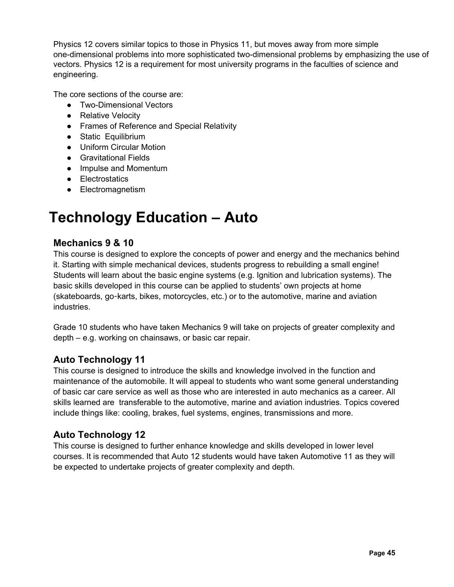Physics 12 covers similar topics to those in Physics 11, but moves away from more simple one-dimensional problems into more sophisticated two-dimensional problems by emphasizing the use of vectors. Physics 12 is a requirement for most university programs in the faculties of science and engineering.

The core sections of the course are:

- Two-Dimensional Vectors
- Relative Velocity
- Frames of Reference and Special Relativity
- Static Equilibrium
- Uniform Circular Motion
- Gravitational Fields
- Impulse and Momentum
- Electrostatics
- Electromagnetism

## **Technology Education – Auto**

#### **Mechanics 9 & 10**

This course is designed to explore the concepts of power and energy and the mechanics behind it. Starting with simple mechanical devices, students progress to rebuilding a small engine! Students will learn about the basic engine systems (e.g. Ignition and lubrication systems). The basic skills developed in this course can be applied to students' own projects at home (skateboards, go-karts, bikes, motorcycles, etc.) or to the automotive, marine and aviation industries.

Grade 10 students who have taken Mechanics 9 will take on projects of greater complexity and depth – e.g. working on chainsaws, or basic car repair.

#### **Auto Technology 11**

This course is designed to introduce the skills and knowledge involved in the function and maintenance of the automobile. It will appeal to students who want some general understanding of basic car care service as well as those who are interested in auto mechanics as a career. All skills learned are transferable to the automotive, marine and aviation industries. Topics covered include things like: cooling, brakes, fuel systems, engines, transmissions and more.

#### **Auto Technology 12**

This course is designed to further enhance knowledge and skills developed in lower level courses. It is recommended that Auto 12 students would have taken Automotive 11 as they will be expected to undertake projects of greater complexity and depth.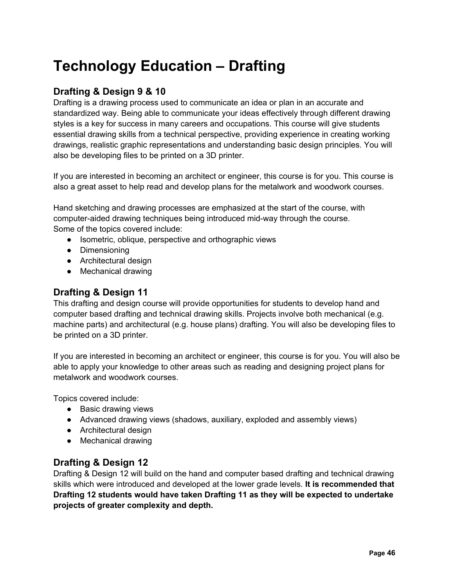## **Technology Education – Drafting**

### **Drafting & Design 9 & 10**

Drafting is a drawing process used to communicate an idea or plan in an accurate and standardized way. Being able to communicate your ideas effectively through different drawing styles is a key for success in many careers and occupations. This course will give students essential drawing skills from a technical perspective, providing experience in creating working drawings, realistic graphic representations and understanding basic design principles. You will also be developing files to be printed on a 3D printer.

If you are interested in becoming an architect or engineer, this course is for you. This course is also a great asset to help read and develop plans for the metalwork and woodwork courses.

Hand sketching and drawing processes are emphasized at the start of the course, with computer-aided drawing techniques being introduced mid-way through the course. Some of the topics covered include:

- Isometric, oblique, perspective and orthographic views
- Dimensioning
- Architectural design
- Mechanical drawing

#### **Drafting & Design 11**

This drafting and design course will provide opportunities for students to develop hand and computer based drafting and technical drawing skills. Projects involve both mechanical (e.g. machine parts) and architectural (e.g. house plans) drafting. You will also be developing files to be printed on a 3D printer.

If you are interested in becoming an architect or engineer, this course is for you. You will also be able to apply your knowledge to other areas such as reading and designing project plans for metalwork and woodwork courses.

Topics covered include:

- Basic drawing views
- Advanced drawing views (shadows, auxiliary, exploded and assembly views)
- Architectural design
- Mechanical drawing

#### **Drafting & Design 12**

Drafting & Design 12 will build on the hand and computer based drafting and technical drawing skills which were introduced and developed at the lower grade levels. **It is recommended that Drafting 12 students would have taken Drafting 11 as they will be expected to undertake projects of greater complexity and depth.**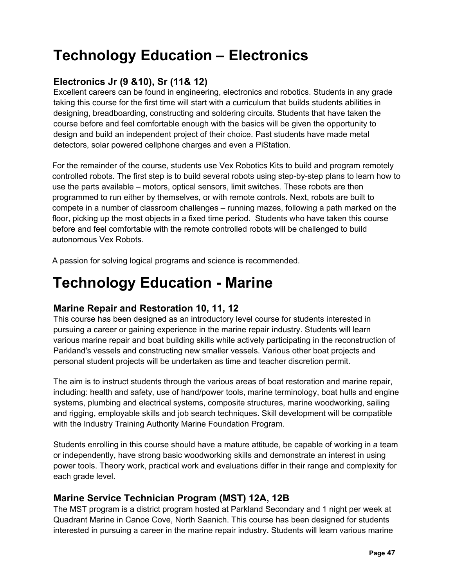## **Technology Education – Electronics**

## **Electronics Jr (9 &10), Sr (11& 12)**

Excellent careers can be found in engineering, electronics and robotics. Students in any grade taking this course for the first time will start with a curriculum that builds students abilities in designing, breadboarding, constructing and soldering circuits. Students that have taken the course before and feel comfortable enough with the basics will be given the opportunity to design and build an independent project of their choice. Past students have made metal detectors, solar powered cellphone charges and even a PiStation.

For the remainder of the course, students use Vex Robotics Kits to build and program remotely controlled robots. The first step is to build several robots using step-by-step plans to learn how to use the parts available – motors, optical sensors, limit switches. These robots are then programmed to run either by themselves, or with remote controls. Next, robots are built to compete in a number of classroom challenges – running mazes, following a path marked on the floor, picking up the most objects in a fixed time period. Students who have taken this course before and feel comfortable with the remote controlled robots will be challenged to build autonomous Vex Robots.

A passion for solving logical programs and science is recommended.

## **Technology Education - Marine**

#### **Marine Repair and Restoration 10, 11, 12**

This course has been designed as an introductory level course for students interested in pursuing a career or gaining experience in the marine repair industry. Students will learn various marine repair and boat building skills while actively participating in the reconstruction of Parkland's vessels and constructing new smaller vessels. Various other boat projects and personal student projects will be undertaken as time and teacher discretion permit.

The aim is to instruct students through the various areas of boat restoration and marine repair, including: health and safety, use of hand/power tools, marine terminology, boat hulls and engine systems, plumbing and electrical systems, composite structures, marine woodworking, sailing and rigging, employable skills and job search techniques. Skill development will be compatible with the Industry Training Authority Marine Foundation Program.

Students enrolling in this course should have a mature attitude, be capable of working in a team or independently, have strong basic woodworking skills and demonstrate an interest in using power tools. Theory work, practical work and evaluations differ in their range and complexity for each grade level.

## **Marine Service Technician Program (MST) 12A, 12B**

The MST program is a district program hosted at Parkland Secondary and 1 night per week at Quadrant Marine in Canoe Cove, North Saanich. This course has been designed for students interested in pursuing a career in the marine repair industry. Students will learn various marine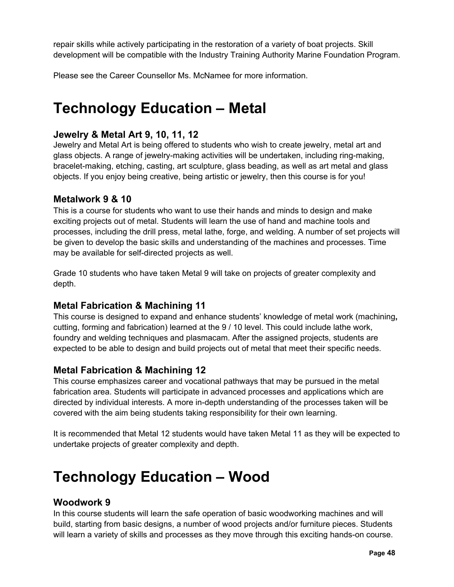repair skills while actively participating in the restoration of a variety of boat projects. Skill development will be compatible with the Industry Training Authority Marine Foundation Program.

Please see the Career Counsellor Ms. McNamee for more information.

## **Technology Education – Metal**

### **Jewelry & Metal Art 9, 10, 11, 12**

Jewelry and Metal Art is being offered to students who wish to create jewelry, metal art and glass objects. A range of jewelry-making activities will be undertaken, including ring-making, bracelet-making, etching, casting, art sculpture, glass beading, as well as art metal and glass objects. If you enjoy being creative, being artistic or jewelry, then this course is for you!

### **Metalwork 9 & 10**

This is a course for students who want to use their hands and minds to design and make exciting projects out of metal. Students will learn the use of hand and machine tools and processes, including the drill press, metal lathe, forge, and welding. A number of set projects will be given to develop the basic skills and understanding of the machines and processes. Time may be available for self-directed projects as well.

Grade 10 students who have taken Metal 9 will take on projects of greater complexity and depth.

## **Metal Fabrication & Machining 11**

This course is designed to expand and enhance students' knowledge of metal work (machining**,** cutting, forming and fabrication) learned at the 9 / 10 level. This could include lathe work, foundry and welding techniques and plasmacam. After the assigned projects, students are expected to be able to design and build projects out of metal that meet their specific needs.

## **Metal Fabrication & Machining 12**

This course emphasizes career and vocational pathways that may be pursued in the metal fabrication area. Students will participate in advanced processes and applications which are directed by individual interests. A more in-depth understanding of the processes taken will be covered with the aim being students taking responsibility for their own learning.

It is recommended that Metal 12 students would have taken Metal 11 as they will be expected to undertake projects of greater complexity and depth.

## **Technology Education – Wood**

#### **Woodwork 9**

In this course students will learn the safe operation of basic woodworking machines and will build, starting from basic designs, a number of wood projects and/or furniture pieces. Students will learn a variety of skills and processes as they move through this exciting hands-on course.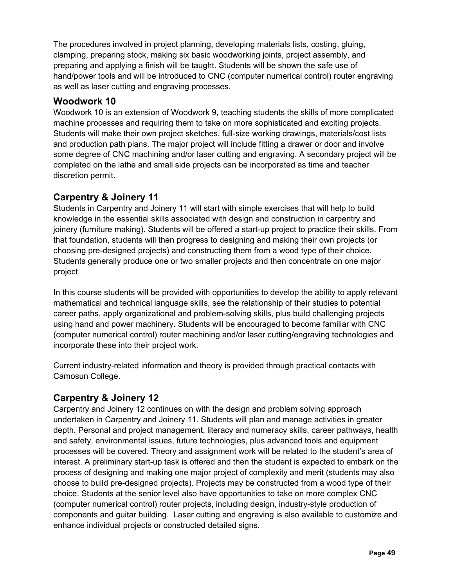The procedures involved in project planning, developing materials lists, costing, gluing, clamping, preparing stock, making six basic woodworking joints, project assembly, and preparing and applying a finish will be taught. Students will be shown the safe use of hand/power tools and will be introduced to CNC (computer numerical control) router engraving as well as laser cutting and engraving processes.

### **Woodwork 10**

Woodwork 10 is an extension of Woodwork 9, teaching students the skills of more complicated machine processes and requiring them to take on more sophisticated and exciting projects. Students will make their own project sketches, full-size working drawings, materials/cost lists and production path plans. The major project will include fitting a drawer or door and involve some degree of CNC machining and/or laser cutting and engraving. A secondary project will be completed on the lathe and small side projects can be incorporated as time and teacher discretion permit.

## **Carpentry & Joinery 11**

Students in Carpentry and Joinery 11 will start with simple exercises that will help to build knowledge in the essential skills associated with design and construction in carpentry and joinery (furniture making). Students will be offered a start-up project to practice their skills. From that foundation, students will then progress to designing and making their own projects (or choosing pre-designed projects) and constructing them from a wood type of their choice. Students generally produce one or two smaller projects and then concentrate on one major project.

In this course students will be provided with opportunities to develop the ability to apply relevant mathematical and technical language skills, see the relationship of their studies to potential career paths, apply organizational and problem-solving skills, plus build challenging projects using hand and power machinery. Students will be encouraged to become familiar with CNC (computer numerical control) router machining and/or laser cutting/engraving technologies and incorporate these into their project work.

Current industry-related information and theory is provided through practical contacts with Camosun College.

## **Carpentry & Joinery 12**

Carpentry and Joinery 12 continues on with the design and problem solving approach undertaken in Carpentry and Joinery 11. Students will plan and manage activities in greater depth. Personal and project management, literacy and numeracy skills, career pathways, health and safety, environmental issues, future technologies, plus advanced tools and equipment processes will be covered. Theory and assignment work will be related to the student's area of interest. A preliminary start-up task is offered and then the student is expected to embark on the process of designing and making one major project of complexity and merit (students may also choose to build pre-designed projects). Projects may be constructed from a wood type of their choice. Students at the senior level also have opportunities to take on more complex CNC (computer numerical control) router projects, including design, industry-style production of components and guitar building. Laser cutting and engraving is also available to customize and enhance individual projects or constructed detailed signs.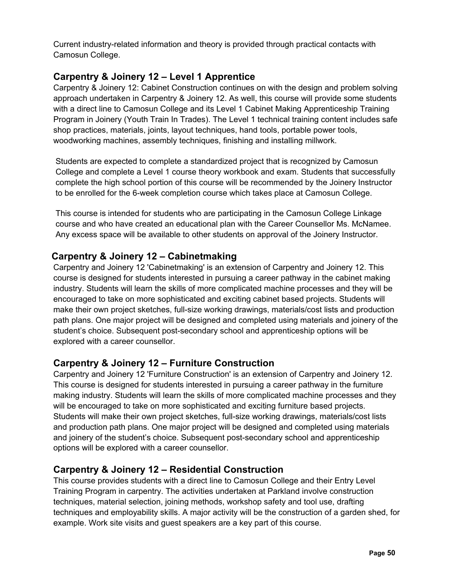Current industry-related information and theory is provided through practical contacts with Camosun College.

### **Carpentry & Joinery 12 – Level 1 Apprentice**

Carpentry & Joinery 12: Cabinet Construction continues on with the design and problem solving approach undertaken in Carpentry & Joinery 12. As well, this course will provide some students with a direct line to Camosun College and its Level 1 Cabinet Making Apprenticeship Training Program in Joinery (Youth Train In Trades). The Level 1 technical training content includes safe shop practices, materials, joints, layout techniques, hand tools, portable power tools, woodworking machines, assembly techniques, finishing and installing millwork.

Students are expected to complete a standardized project that is recognized by Camosun College and complete a Level 1 course theory workbook and exam. Students that successfully complete the high school portion of this course will be recommended by the Joinery Instructor to be enrolled for the 6-week completion course which takes place at Camosun College.

This course is intended for students who are participating in the Camosun College Linkage course and who have created an educational plan with the Career Counsellor Ms. McNamee. Any excess space will be available to other students on approval of the Joinery Instructor.

### **Carpentry & Joinery 12 – Cabinetmaking**

Carpentry and Joinery 12 'Cabinetmaking' is an extension of Carpentry and Joinery 12. This course is designed for students interested in pursuing a career pathway in the cabinet making industry. Students will learn the skills of more complicated machine processes and they will be encouraged to take on more sophisticated and exciting cabinet based projects. Students will make their own project sketches, full-size working drawings, materials/cost lists and production path plans. One major project will be designed and completed using materials and joinery of the student's choice. Subsequent post-secondary school and apprenticeship options will be explored with a career counsellor.

#### **Carpentry & Joinery 12 – Furniture Construction**

Carpentry and Joinery 12 'Furniture Construction' is an extension of Carpentry and Joinery 12. This course is designed for students interested in pursuing a career pathway in the furniture making industry. Students will learn the skills of more complicated machine processes and they will be encouraged to take on more sophisticated and exciting furniture based projects. Students will make their own project sketches, full-size working drawings, materials/cost lists and production path plans. One major project will be designed and completed using materials and joinery of the student's choice. Subsequent post-secondary school and apprenticeship options will be explored with a career counsellor.

#### **Carpentry & Joinery 12 – Residential Construction**

This course provides students with a direct line to Camosun College and their Entry Level Training Program in carpentry. The activities undertaken at Parkland involve construction techniques, material selection, joining methods, workshop safety and tool use, drafting techniques and employability skills. A major activity will be the construction of a garden shed, for example. Work site visits and guest speakers are a key part of this course.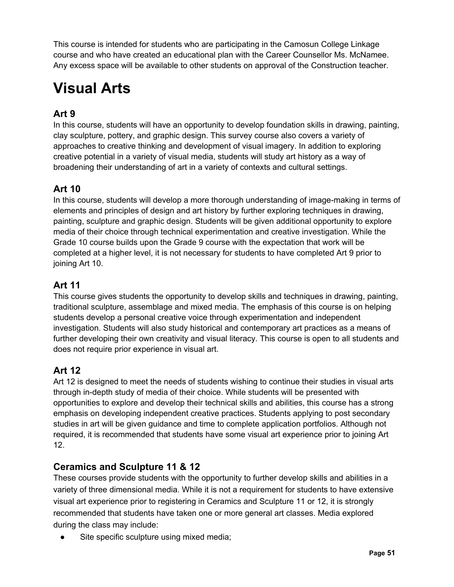This course is intended for students who are participating in the Camosun College Linkage course and who have created an educational plan with the Career Counsellor Ms. McNamee. Any excess space will be available to other students on approval of the Construction teacher.

## **Visual Arts**

## **Art 9**

In this course, students will have an opportunity to develop foundation skills in drawing, painting, clay sculpture, pottery, and graphic design. This survey course also covers a variety of approaches to creative thinking and development of visual imagery. In addition to exploring creative potential in a variety of visual media, students will study art history as a way of broadening their understanding of art in a variety of contexts and cultural settings.

## **Art 10**

In this course, students will develop a more thorough understanding of image-making in terms of elements and principles of design and art history by further exploring techniques in drawing, painting, sculpture and graphic design. Students will be given additional opportunity to explore media of their choice through technical experimentation and creative investigation. While the Grade 10 course builds upon the Grade 9 course with the expectation that work will be completed at a higher level, it is not necessary for students to have completed Art 9 prior to joining Art 10.

## **Art 11**

This course gives students the opportunity to develop skills and techniques in drawing, painting, traditional sculpture, assemblage and mixed media. The emphasis of this course is on helping students develop a personal creative voice through experimentation and independent investigation. Students will also study historical and contemporary art practices as a means of further developing their own creativity and visual literacy. This course is open to all students and does not require prior experience in visual art.

## **Art 12**

Art 12 is designed to meet the needs of students wishing to continue their studies in visual arts through in-depth study of media of their choice. While students will be presented with opportunities to explore and develop their technical skills and abilities, this course has a strong emphasis on developing independent creative practices. Students applying to post secondary studies in art will be given guidance and time to complete application portfolios. Although not required, it is recommended that students have some visual art experience prior to joining Art 12.

## **Ceramics and Sculpture 11 & 12**

These courses provide students with the opportunity to further develop skills and abilities in a variety of three dimensional media. While it is not a requirement for students to have extensive visual art experience prior to registering in Ceramics and Sculpture 11 or 12, it is strongly recommended that students have taken one or more general art classes. Media explored during the class may include:

• Site specific sculpture using mixed media;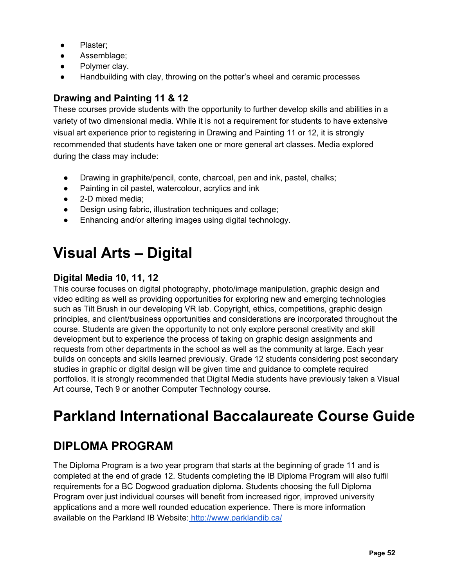- Plaster;
- Assemblage;
- Polymer clay.
- Handbuilding with clay, throwing on the potter's wheel and ceramic processes

## **Drawing and Painting 11 & 12**

These courses provide students with the opportunity to further develop skills and abilities in a variety of two dimensional media. While it is not a requirement for students to have extensive visual art experience prior to registering in Drawing and Painting 11 or 12, it is strongly recommended that students have taken one or more general art classes. Media explored during the class may include:

- Drawing in graphite/pencil, conte, charcoal, pen and ink, pastel, chalks;
- Painting in oil pastel, watercolour, acrylics and ink
- 2-D mixed media;
- Design using fabric, illustration techniques and collage;
- Enhancing and/or altering images using digital technology.

## **Visual Arts – Digital**

## **Digital Media 10, 11, 12**

This course focuses on digital photography, photo/image manipulation, graphic design and video editing as well as providing opportunities for exploring new and emerging technologies such as Tilt Brush in our developing VR lab. Copyright, ethics, competitions, graphic design principles, and client/business opportunities and considerations are incorporated throughout the course. Students are given the opportunity to not only explore personal creativity and skill development but to experience the process of taking on graphic design assignments and requests from other departments in the school as well as the community at large. Each year builds on concepts and skills learned previously. Grade 12 students considering post secondary studies in graphic or digital design will be given time and guidance to complete required portfolios. It is strongly recommended that Digital Media students have previously taken a Visual Art course, Tech 9 or another Computer Technology course.

## **Parkland International Baccalaureate Course Guide**

## **DIPLOMA PROGRAM**

The Diploma Program is a two year program that starts at the beginning of grade 11 and is completed at the end of grade 12. Students completing the IB Diploma Program will also fulfil requirements for a BC Dogwood graduation diploma. Students choosing the full Diploma Program over just individual courses will benefit from increased rigor, improved university applications and a more well rounded education experience. There is more information available on the Parkland IB Website: http://www.parklandib.ca/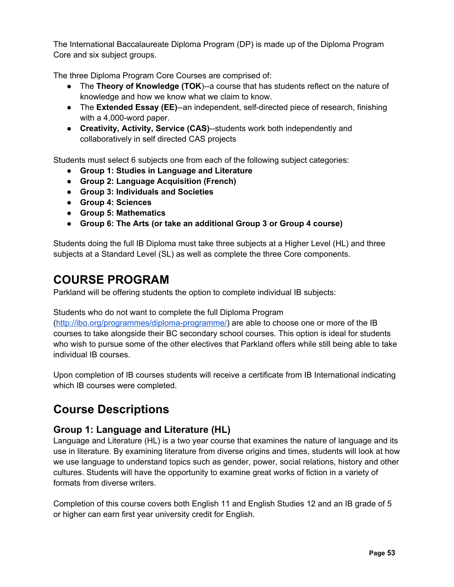The International Baccalaureate Diploma Program (DP) is made up of the Diploma Program Core and six subject groups.

The three Diploma Program Core Courses are comprised of:

- The **Theory of Knowledge (TOK**)--a course that has students reflect on the nature of knowledge and how we know what we claim to know.
- The **Extended Essay (EE)**--an independent, self-directed piece of research, finishing with a 4,000-word paper.
- **Creativity, Activity, Service (CAS)**--students work both independently and collaboratively in self directed CAS projects

Students must select 6 subjects one from each of the following subject categories:

- **● Group 1: Studies in Language and Literature**
- **● Group 2: Language Acquisition (French)**
- **● Group 3: Individuals and Societies**
- **● Group 4: Sciences**
- **● Group 5: Mathematics**
- **● Group 6: The Arts (or take an additional Group 3 or Group 4 course)**

Students doing the full IB Diploma must take three subjects at a Higher Level (HL) and three subjects at a Standard Level (SL) as well as complete the three Core components.

## **COURSE PROGRAM**

Parkland will be offering students the option to complete individual IB subjects:

Students who do not want to complete the full Diploma Program

(http://ibo.org/programmes/diploma-programme/) are able to choose one or more of the IB courses to take alongside their BC secondary school courses. This option is ideal for students who wish to pursue some of the other electives that Parkland offers while still being able to take individual IB courses.

Upon completion of IB courses students will receive a certificate from IB International indicating which IB courses were completed.

## **Course Descriptions**

#### **Group 1: Language and Literature (HL)**

Language and Literature (HL) is a two year course that examines the nature of language and its use in literature. By examining literature from diverse origins and times, students will look at how we use language to understand topics such as gender, power, social relations, history and other cultures. Students will have the opportunity to examine great works of fiction in a variety of formats from diverse writers.

Completion of this course covers both English 11 and English Studies 12 and an IB grade of 5 or higher can earn first year university credit for English.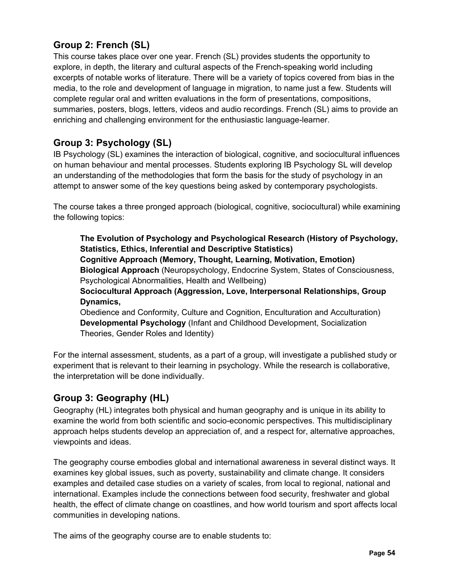## **Group 2: French (SL)**

This course takes place over one year. French (SL) provides students the opportunity to explore, in depth, the literary and cultural aspects of the French-speaking world including excerpts of notable works of literature. There will be a variety of topics covered from bias in the media, to the role and development of language in migration, to name just a few. Students will complete regular oral and written evaluations in the form of presentations, compositions, summaries, posters, blogs, letters, videos and audio recordings. French (SL) aims to provide an enriching and challenging environment for the enthusiastic language-learner.

## **Group 3: Psychology (SL)**

IB Psychology (SL) examines the interaction of biological, cognitive, and sociocultural influences on human behaviour and mental processes. Students exploring IB Psychology SL will develop an understanding of the methodologies that form the basis for the study of psychology in an attempt to answer some of the key questions being asked by contemporary psychologists.

The course takes a three pronged approach (biological, cognitive, sociocultural) while examining the following topics:

**The Evolution of Psychology and Psychological Research (History of Psychology, Statistics, Ethics, Inferential and Descriptive Statistics) Cognitive Approach (Memory, Thought, Learning, Motivation, Emotion) Biological Approach** (Neuropsychology, Endocrine System, States of Consciousness, Psychological Abnormalities, Health and Wellbeing)

**Sociocultural Approach (Aggression, Love, Interpersonal Relationships, Group Dynamics,**

Obedience and Conformity, Culture and Cognition, Enculturation and Acculturation) **Developmental Psychology** (Infant and Childhood Development, Socialization Theories, Gender Roles and Identity)

For the internal assessment, students, as a part of a group, will investigate a published study or experiment that is relevant to their learning in psychology. While the research is collaborative, the interpretation will be done individually.

## **Group 3: Geography (HL)**

Geography (HL) integrates both physical and human geography and is unique in its ability to examine the world from both scientific and socio-economic perspectives. This multidisciplinary approach helps students develop an appreciation of, and a respect for, alternative approaches, viewpoints and ideas.

The geography course embodies global and international awareness in several distinct ways. It examines key global issues, such as poverty, sustainability and climate change. It considers examples and detailed case studies on a variety of scales, from local to regional, national and international. Examples include the connections between food security, freshwater and global health, the effect of climate change on coastlines, and how world tourism and sport affects local communities in developing nations.

The aims of the geography course are to enable students to: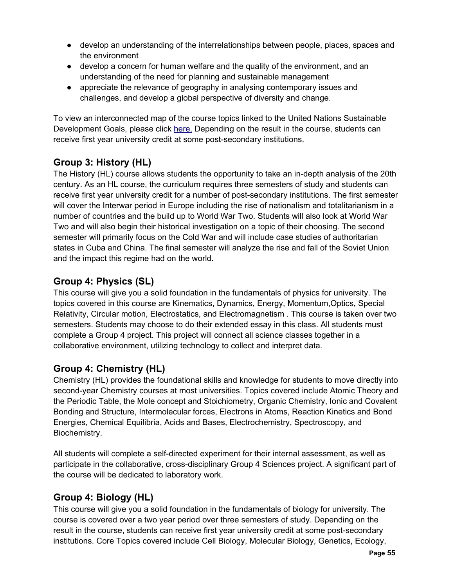- develop an understanding of the interrelationships between people, places, spaces and the environment
- develop a concern for human welfare and the quality of the environment, and an understanding of the need for planning and sustainable management
- appreciate the relevance of geography in analysing contemporary issues and challenges, and develop a global perspective of diversity and change.

To view an interconnected map of the course topics linked to the United Nations Sustainable Development Goals, please click here. Depending on the result in the course, students can receive first year university credit at some post-secondary institutions.

## **Group 3: History (HL)**

The History (HL) course allows students the opportunity to take an in-depth analysis of the 20th century. As an HL course, the curriculum requires three semesters of study and students can receive first year university credit for a number of post-secondary institutions. The first semester will cover the Interwar period in Europe including the rise of nationalism and totalitarianism in a number of countries and the build up to World War Two. Students will also look at World War Two and will also begin their historical investigation on a topic of their choosing. The second semester will primarily focus on the Cold War and will include case studies of authoritarian states in Cuba and China. The final semester will analyze the rise and fall of the Soviet Union and the impact this regime had on the world.

## **Group 4: Physics (SL)**

This course will give you a solid foundation in the fundamentals of physics for university. The topics covered in this course are Kinematics, Dynamics, Energy, Momentum,Optics, Special Relativity, Circular motion, Electrostatics, and Electromagnetism . This course is taken over two semesters. Students may choose to do their extended essay in this class. All students must complete a Group 4 project. This project will connect all science classes together in a collaborative environment, utilizing technology to collect and interpret data.

## **Group 4: Chemistry (HL)**

Chemistry (HL) provides the foundational skills and knowledge for students to move directly into second-year Chemistry courses at most universities. Topics covered include Atomic Theory and the Periodic Table, the Mole concept and Stoichiometry, Organic Chemistry, Ionic and Covalent Bonding and Structure, Intermolecular forces, Electrons in Atoms, Reaction Kinetics and Bond Energies, Chemical Equilibria, Acids and Bases, Electrochemistry, Spectroscopy, and Biochemistry.

All students will complete a self-directed experiment for their internal assessment, as well as participate in the collaborative, cross-disciplinary Group 4 Sciences project. A significant part of the course will be dedicated to laboratory work.

## **Group 4: Biology (HL)**

This course will give you a solid foundation in the fundamentals of biology for university. The course is covered over a two year period over three semesters of study. Depending on the result in the course, students can receive first year university credit at some post-secondary institutions. Core Topics covered include Cell Biology, Molecular Biology, Genetics, Ecology,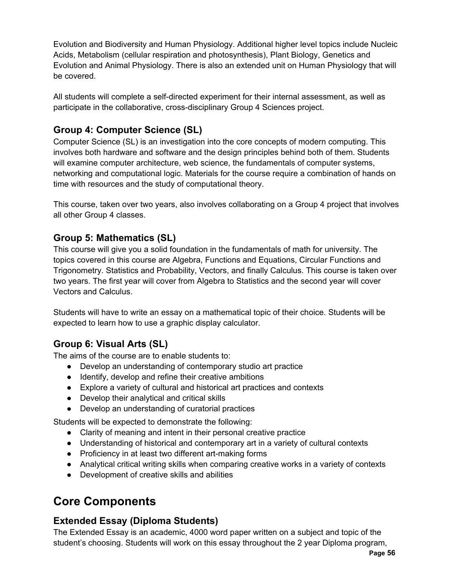Evolution and Biodiversity and Human Physiology. Additional higher level topics include Nucleic Acids, Metabolism (cellular respiration and photosynthesis), Plant Biology, Genetics and Evolution and Animal Physiology. There is also an extended unit on Human Physiology that will be covered.

All students will complete a self-directed experiment for their internal assessment, as well as participate in the collaborative, cross-disciplinary Group 4 Sciences project.

## **Group 4: Computer Science (SL)**

Computer Science (SL) is an investigation into the core concepts of modern computing. This involves both hardware and software and the design principles behind both of them. Students will examine computer architecture, web science, the fundamentals of computer systems, networking and computational logic. Materials for the course require a combination of hands on time with resources and the study of computational theory.

This course, taken over two years, also involves collaborating on a Group 4 project that involves all other Group 4 classes.

### **Group 5: Mathematics (SL)**

This course will give you a solid foundation in the fundamentals of math for university. The topics covered in this course are Algebra, Functions and Equations, Circular Functions and Trigonometry. Statistics and Probability, Vectors, and finally Calculus. This course is taken over two years. The first year will cover from Algebra to Statistics and the second year will cover Vectors and Calculus.

Students will have to write an essay on a mathematical topic of their choice. Students will be expected to learn how to use a graphic display calculator.

## **Group 6: Visual Arts (SL)**

The aims of the course are to enable students to:

- Develop an understanding of contemporary studio art practice
- Identify, develop and refine their creative ambitions
- Explore a variety of cultural and historical art practices and contexts
- Develop their analytical and critical skills
- Develop an understanding of curatorial practices

Students will be expected to demonstrate the following:

- Clarity of meaning and intent in their personal creative practice
- Understanding of historical and contemporary art in a variety of cultural contexts
- Proficiency in at least two different art-making forms
- Analytical critical writing skills when comparing creative works in a variety of contexts
- Development of creative skills and abilities

## **Core Components**

## **Extended Essay (Diploma Students)**

The Extended Essay is an academic, 4000 word paper written on a subject and topic of the student's choosing. Students will work on this essay throughout the 2 year Diploma program,